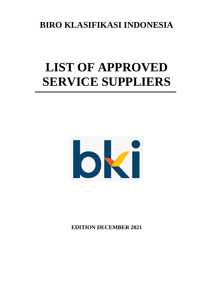# **BIRO KLASIFIKASI INDONESIA**

# **LIST OF APPROVED SERVICE SUPPLIERS**



**EDITION DECEMBER 2021**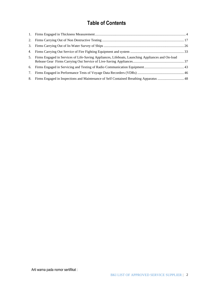# **Table of Contents**

| 5. Firms Engaged in Services of Life-Saving Appliances, Lifeboats, Launching Appliances and On-load |  |
|-----------------------------------------------------------------------------------------------------|--|
|                                                                                                     |  |
|                                                                                                     |  |
| 8. Firms Engaged in Inspections and Maintenance of Self Contained Breathing Apparatus  48           |  |
|                                                                                                     |  |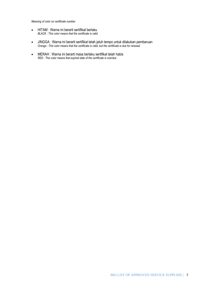*Meaning of color on certificate number*

- HITAM : Warna ini berarti sertifikat berlaku *BLACK : This color means that the certificate is valid*
- JINGGA : Warna ini berarti sertifikat telah jatuh tempo untuk dilakukan pembaruan *Orange : This color means that the certificate is valid, but the certificate is due for renewal*
- MERAH : Warna ini berarti masa berlaku sertifikat telah habis *RED : This color means that expired date of the certificate is overdue*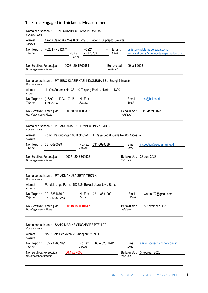# <span id="page-3-0"></span>1. Firms Engaged in Thickness Measurement

| PT. SURVINDOTAMA PERSADA.<br>Nama perusahaan:<br>Company name                                                  |                                                                       |  |  |  |
|----------------------------------------------------------------------------------------------------------------|-----------------------------------------------------------------------|--|--|--|
| Alamat<br>Graha Cempaka Mas Blok B-29, Jl. Letjend. Suprapto, Jakarta<br>Address                               |                                                                       |  |  |  |
| $+6221 - 4212174$<br>$+6221$<br>No. Telpon:<br>Email:<br>Telp. no.<br>42870732<br>Email<br>No.Fax:<br>Fax. no. | cs@survindotamapersada.com,<br>technical.dept@survindotamapersada.com |  |  |  |
| 00081.20.TP00981<br>No. Sertifikat Persetujuan:<br>Berlaku s/d :<br>No. of approval certificate<br>Valid until | 09 Juli 2023                                                          |  |  |  |
| Nama perusahaan: PT. BIRO KLASIFIKASI INDONESIA-SBU Energi & Industri<br>Company name                          |                                                                       |  |  |  |
| Alamat<br>Jl. Yos Sudarso No. 38 - 40 Tanjung Priok, Jakarta - 14320<br>Address                                |                                                                       |  |  |  |
| $(+62)21$<br>4393<br>No. Telpon:<br>7415,<br>$No.Fax: -$<br>Fax. no.<br>Telp. no.<br>43938304                  | Email:<br>eni@bki.co.id<br>Email                                      |  |  |  |
| 00060.20.TP00388<br>No. Sertifikat Persetujuan:<br>No. of approval certificate                                 | 11 Maret 2023<br>Berlaku s/d:<br>Valid until                          |  |  |  |
| Nama perusahaan: PT. AQUAMARINE DIVINDO INSPECTION<br>Company name                                             |                                                                       |  |  |  |
| Komp. Pergudangan 88 Blok C5-C7, Jl. Raya Sedati Gede No. 88, Sidoarjo<br>Alamat<br>Address                    |                                                                       |  |  |  |
| No. Telpon:<br>031-8690099<br>No.Fax: 031-8690089<br>Telp. no.<br>Fax. no.                                     | Email:<br>inspection@aquamarine.id<br>Email                           |  |  |  |
| 00071.20.SB00923<br>No. Sertifikat Persetujuan:<br>No. of approval certificate                                 | Berlaku s/d: 28 Juni 2023<br>Valid until                              |  |  |  |
| Nama perusahaan: PT. ADMANUSA SETIA TEKNIK<br>Company name                                                     |                                                                       |  |  |  |
| Alamat : Pondok Ungu Permai DD 3/24 Bekasi Utara Jawa Barat<br>Address                                         |                                                                       |  |  |  |
| 021-8881676 /<br>No. Telpon:<br>No.Fax: 021 - 8881009<br>Telp. no.<br>Fax. no.<br>08121395 0255                | pwanto172@gmail.com<br>Email:<br>Email                                |  |  |  |
| 00118.18.TP01547<br>No. Sertifikat Persetujuan:<br>No. of approval certificate                                 | Berlaku s/d:<br>05 November 2021<br>Valid until                       |  |  |  |
| Nama perusahaan: SANKI MARINE SINGAPORE PTE. LTD.<br>Company name                                              |                                                                       |  |  |  |
| Alamat<br>No. 7 Chin Bee Avenue Singapore 619931<br>Address                                                    |                                                                       |  |  |  |
| No.Fax: $+65 - 62659201$<br>No. Telpon: $+65 - 62687991$<br>Telp. no.<br>Fax. no.                              | Email:<br>sanki_spore@singnet.com.sg<br>Email                         |  |  |  |
| 36.15.SP0061<br>No. Sertifikat Persetujuan:<br>No. of approval certificate                                     | Berlaku s/d:<br>3 Februari 2020<br>Valid until                        |  |  |  |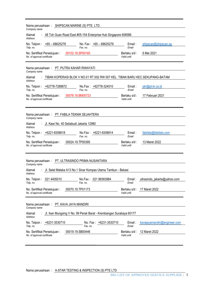| Nama perusahaan: SHIPSCAN MARINE (S) PTE. LTD.<br>Company name                                    |                              |                              |  |  |  |
|---------------------------------------------------------------------------------------------------|------------------------------|------------------------------|--|--|--|
| 48 Toh Guan Road East #05-154 Enterprise Hub Singapore 608586<br>Alamat<br>Address                |                              |                              |  |  |  |
| No. Fax: +65 - 68625276<br>$+65 - 68625278$<br>No. Telpon:<br>Telp. no.<br>Fax. no.               | Email:<br>Email              | shipscan@shipscan.sg         |  |  |  |
| No. Sertifikat Persetujuan:<br>00102.18.SP00165<br>No. of approval certificate                    | Berlaku s/d :<br>Valid until | 6 Mei 2021                   |  |  |  |
| PT. PUTRA KAHAR RIWAYATI<br>Nama perusahaan:<br>Company name                                      |                              |                              |  |  |  |
| TIBAN KOPERASI BLOK V NO.01 RT.002 RW 007 KEL. TIBAN BARU KEC.SEKUPANG-BATAM<br>Alamat<br>Address |                              |                              |  |  |  |
| No.Fax: +62778-324510<br>No. Telpon: +62778-7288872<br>Telp. no.<br>Fax. no.                      | Email:<br>Email              | pkr@pt-kr.co.id              |  |  |  |
| No. Sertifikat Persetujuan:<br>00078.18.BM00723<br>No. of approval certificate                    | Berlaku s/d :<br>Valid until | 17 Februari 2021             |  |  |  |
| Nama perusahaan: PT. FABILA TEKNIK SEJAHTERA<br>Company name                                      |                              |                              |  |  |  |
| Jl. Kawi No. 40 Setiabudi Jakarta 12980<br>Alamat<br>Address                                      |                              |                              |  |  |  |
| No. Telpon: +6221-8308618<br>No.Fax: +6221-8308814<br>Telp. no.<br>Fax. no.                       | Email:<br>Email              | fabilats@fabilats.com        |  |  |  |
| 00024.19.TP00395<br>No. Sertifikat Persetujuan:<br>No. of approval certificate                    | Berlaku s/d:<br>Valid until  | 13 Maret 2022                |  |  |  |
| Nama perusahaan: PT. ULTRASINDO PRIMA NUSANTARA<br>Company name                                   |                              |                              |  |  |  |
| Jl. Selat Malaka A13 No.1 Sinar Kompas Utama Tambun - Bekasi<br>Alamat<br>Address                 |                              |                              |  |  |  |
| 021 4405010<br>021 88363984<br>No. Telpon:<br>No.Fax:<br>Telp. no.<br>Fax. no.                    | Email:<br>Email              | ultrasindo_jakarta@yahoo.com |  |  |  |
| 00070.19.TP01173<br>No. Sertifikat Persetujuan :<br>No. of approval certificate                   | Berlaku s/d :<br>Valid until | 17 Maret 2022                |  |  |  |
| Nama perusahaan: PT. KAVA JAYA MANDIRI<br>Company name                                            |                              |                              |  |  |  |
| Jl. Ikan Mungsing V No. 99 Perak Barat - Krembangan Surabaya 60177<br>Alamat<br><b>Address</b>    |                              |                              |  |  |  |
| No. Telpon:<br>+6231-3530710<br>No. Fax: +6231-3530710<br>Telp. no.<br>Fax. no.                   | Email:<br>Email              | kavajayamandiri@engineer.com |  |  |  |
| 00019.19.SB00446<br>No. Sertifikat Persetujuan:<br>No. of approval certificate                    | Berlaku s/d:<br>Valid until  | 12 Maret 2022                |  |  |  |

Nama perusahaan : A-STAR TESTING & INSPECTION (S) PTE LTD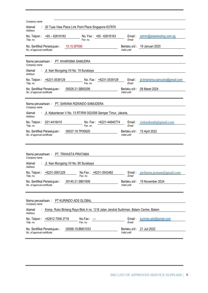| Company name                                                                                                                        |  |  |  |  |  |
|-------------------------------------------------------------------------------------------------------------------------------------|--|--|--|--|--|
| : 30 Tuas View Place Link Point Place Singapore 637876<br>Alamat<br>Address                                                         |  |  |  |  |  |
| No. Telpon: $+65 - 62616162$<br>No. Fax: +65 - 62616163<br>Email:<br>admin@astartesting.com.sg<br>Telp. no.<br>Fax. no.<br>Email    |  |  |  |  |  |
| 15.15.SP006<br>19 Januari 2020<br>No. Sertifikat Persetujuan:<br>Berlaku s/d :<br>No. of approval certificate<br>Valid until        |  |  |  |  |  |
| Nama perusahaan: PT. KHARISMA SAMUDRA<br>Company name                                                                               |  |  |  |  |  |
| : Jl. Ikan Mungsing VII No. 19 Surabaya<br>Alamat<br>Address                                                                        |  |  |  |  |  |
| No. Telpon: +6231-3539129<br>No. Fax: +6231-3539129<br>pt.kharisma.samudra@gmail.com<br>Email:<br>Fax. no.<br>Telp. no.<br>Email    |  |  |  |  |  |
| 00028.21.SB00295<br>Berlaku s/d: 08 Maret 2024<br>No. Sertifikat Persetujuan:<br>No. of approval certificate<br>Valid until         |  |  |  |  |  |
| Nama perusahaan: PT. SARANA RIZKINDO SAMUDERA<br>Company name                                                                       |  |  |  |  |  |
| Jl. Kebantenan V No. 13 RT/RW 002/006 Semper Timur, Jakarta.<br>Alamat<br>Address                                                   |  |  |  |  |  |
| No. Fax: +6221-44940774<br>No. Telpon: 021-4416410<br>Email:<br>rizkindondt@gmail.com<br>Telp. no.<br>Fax. no.<br>Email             |  |  |  |  |  |
| 00037.19.TP00620<br>No. Sertifikat Persetujuan:<br>Berlaku s/d: 15 April 2022<br>No. of approval certificate<br>Valid until         |  |  |  |  |  |
|                                                                                                                                     |  |  |  |  |  |
| Nama perusahaan: PT. TRIHASTA PRATAMA                                                                                               |  |  |  |  |  |
| Company name<br>: Jl. Ikan Mungsing VII No. 90 Surabaya<br>Alamat<br>Address                                                        |  |  |  |  |  |
| No.Fax: +6231-3543482<br>No. Telpon: +6231-3561229<br>Email: ptrihasta.pratam@gmail.com<br>Telp. no.<br>Fax. no.<br>Email           |  |  |  |  |  |
| 00140.21.SB01806<br>15 November 2024<br>No. Sertifikat Persetujuan :<br>Berlaku s/d :<br>No. of approval certificate<br>Valid until |  |  |  |  |  |
|                                                                                                                                     |  |  |  |  |  |
| Nama perusahaan: PT KURINDO ADS GLOBAL<br>Company name                                                                              |  |  |  |  |  |
| Komp. Ruko Bintang Raya Blok A no. 12 B Jalan Jendral Sudirman, Batam Centre, Batam<br>Alamat<br>Address                            |  |  |  |  |  |
| +62812 7006 2718<br>No. Telpon:<br>No.Fax:<br>Email:<br>kurindo.ads@gmail.com<br>Fax. no.<br>Email<br>Telp. no.                     |  |  |  |  |  |
| 00068.19.BM01033<br>No. Sertifikat Persetujuan:<br>Berlaku s/d: 21 Juli 2022<br>No. of approval certificate<br>Valid until          |  |  |  |  |  |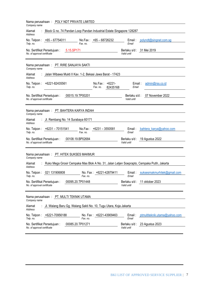| Nama perusahaan: POLY NDT PRIVATE LIMITED<br>Company name                                                              |                                                  |
|------------------------------------------------------------------------------------------------------------------------|--------------------------------------------------|
| Block G no. 74 Pandan Loop Pandan Industrial Estate Singapore 128287<br>Alamat<br>Address                              |                                                  |
| No. Telpon: $+65 - 67754011$<br>No.Fax: $+65 - 68726232$<br>Fax. no.<br>Telp. no.                                      | Email :<br>polyndt@singnet.com.sg<br>Email       |
| 5.15.SP171<br>No. Sertifikat Persetujuan:<br>No. of approval certificate                                               | Berlaku s/d: 31 Mei 2019<br>Valid until          |
| Nama perusahaan: PT. RIRE SANJAYA SAKTI<br>Company name                                                                |                                                  |
| Jalan Wibawa Mukti II Kav. 1-2, Bekasi Jawa Barat - 17423<br>Alamat<br>Address                                         |                                                  |
| +6221-82435561<br>$+6221-$<br>No. Telpon :<br>No.Fax:<br>Telp. no.<br>Fax. no.<br>82435168                             | Email:<br>admin@rss.co.id<br>Email               |
| 00015.19.TP00201<br>No. Sertifikat Persetujuan:<br>No. of approval certificate                                         | 07 November 2022<br>Berlaku s/d :<br>Valid until |
| Nama perusahaan: PT. BAHTERA KARYA INDAH<br>Company name                                                               |                                                  |
| Jl. Rembang No. 14 Surabaya 60171<br>Alamat<br>Address                                                                 |                                                  |
| No. Telpon: +6231 - 70151541<br>No.Fax: $+6231 - 3550581$<br>Fax. no.<br>Telp. no.                                     | Email:<br>bahtera_karya@yahoo.com<br>Email       |
| 00108.19.BP02684<br>No. Sertifikat Persetujuan:<br>No. of approval certificate                                         | Berlaku s/d: 19 Agustus 2022<br>Valid until      |
| Nama perusahaan: PT. HITEK SUKSES MAKMUR<br>Company name                                                               |                                                  |
| Ruko Mega Grosir Cempaka Mas Blok A No. 31, Jalan Letjen Soeprapto, Cempaka Putih, Jakarta<br>Alamat<br><b>Address</b> |                                                  |
| No. Telpon: 021 131906808<br>No. Fax: +6221-42879411<br>Fax. no.<br>Telp. no.                                          | suksesmakmurhitek@gmail.com<br>Email:<br>Email   |
| 00095.20.TP01448<br>No. Sertifikat Persetujuan :<br>No. of approval certificate                                        | Berlaku s/d: 11 oktober 2023<br>Valid until      |
| Nama perusahaan: PT. MULTI TEKNIK UTAMA<br>Company name                                                                |                                                  |
| Jl. Walang Baru Gg. Walang Sakti No. 10, Tugu Utara, Koja Jakarta<br>Alamat<br>Address                                 |                                                  |
| +6221-70956188<br>No. Fax: +6221-43909463<br>No. Telpon:<br>Fax. no.<br>Telp. no.                                      | ptmultiteknik.utama@yahoo.com<br>Email:<br>Email |
| 00085.20.TP01271<br>No. Sertifikat Persetujuan:<br>No. of approval certificate                                         | 23 Agustus 2023<br>Berlaku s/d :<br>Valid until  |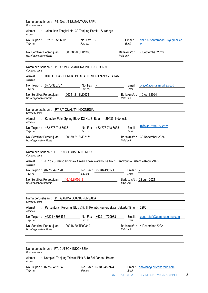| Nama perusahaan: PT. DALUT NUSANTARA BARU<br>Company name                                                |                                          |                                     |
|----------------------------------------------------------------------------------------------------------|------------------------------------------|-------------------------------------|
| Jalan Ikan Tongkol No. 32 Tanjung Perak - Surabaya<br>Alamat<br><b>Address</b>                           |                                          |                                     |
| No. Telpon:<br>+62 31 355 6801<br>No. Fax: $-$<br>Telp. no.<br>Fax. no.                                  | Email:<br>Email                          | dalut.nusantarabaru03@gmail.co<br>m |
| 00088.20.SB01360<br>No. Sertifikat Persetujuan:<br>No. of approval certificate                           | Berlaku s/d:<br>Valid until              | 7 September 2023                    |
| Nama perusahaan: PT. GONG SAMUDRA INTERNASIONAL<br>Company name                                          |                                          |                                     |
| BUKIT TIBAN PERMAI BLOK A.10, SEKUPANG - BATAM<br>Alamat<br>Address                                      |                                          |                                     |
| No. Telpon: 0778-325707<br>No. Fax: $-$<br>Fax. no.<br>Telp. no.                                         | Email :<br>Email                         | office@gongsamudra.co.id            |
| 00041.21.BM00741<br>No. Sertifikat Persetujuan:<br>No. of approval certificate                           | Valid until                              | Berlaku s/d: 10 April 2024          |
| Nama perusahaan: PT. UT QUALITY INDONESIA<br>Company name                                                |                                          |                                     |
| Komplek Palm Spring Block D2 No. 8, Batam - 29436, Indonesia.<br>Alamat<br><b>Address</b>                |                                          |                                     |
| No. Telpon: +62 778 748 6636<br>No. Fax: +62 778 748 6635<br>Telp. no.<br>Fax. no.                       | Email:<br>Email                          | info@utquality.com                  |
| 00159.21.BM02171<br>No. Sertifikat Persetujuan:<br>No. of approval certificate                           | Valid until                              | Berlaku s/d: 30 Nopember 2024       |
| Nama perusahaan: PT. DUJ GLOBAL MARINDO<br>Company name                                                  |                                          |                                     |
| : Jl. Yos Sudarso Komplek Green Town Warehouse No. 1 Bengkong - Batam - Kepri 29457<br>Alamat<br>Address |                                          |                                     |
| No. Fax: (0778) 495121<br>No. Telpon: (0778) 495120<br>Telp. no.<br>Fax. no.                             | Email:<br>Email                          |                                     |
| No. Sertifikat Persetujuan: 146.16.BM0918<br>No. of approval certificate                                 | Berlaku s/d: 22 Juni 2021<br>Valid until |                                     |
| Nama perusahaan: PT. GAMMA BUANA PERSADA<br>Company name                                                 |                                          |                                     |
| Perkantoran Pulomas Blok V/5, Jl. Perintis Kemerdekaan Jakarta Timur - 13260<br>Alamat<br>Address        |                                          |                                     |
| No. Fax: +6221-4700983<br>+6221-4893456<br>No. Telpon:<br>Fax. no.<br>Telp. no.                          | Email:<br>Email                          | gagc_staff@gammabuana.com           |
| No. Sertifikat Persetujuan:<br>00048.20.TP00349<br>No. of approval certificate                           | Berlaku s/d :<br>Valid until             | 4 Desember 2022                     |
|                                                                                                          |                                          |                                     |
| Nama perusahaan: PT. CUTECH INDONESIA<br>Company name                                                    |                                          |                                     |
| Komplek Tanjung Trisakti Blok A-10 Sei Panas - Batam<br>Alamat<br>Address                                |                                          |                                     |
| No. Telpon: 0778 - 452924<br>No. Fax: 0778 - 452924<br>Telp. no.<br>Fax. no.                             | Email                                    | Email: darwizar@cutechgroup.com     |

BKI LIST OF APPROVED SERVICE SUPPLIER | 8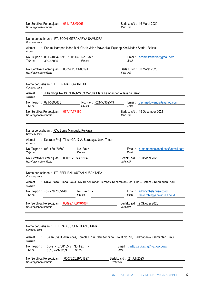| No. Sertifikat Persetujuan: 031.17.BM0266<br>No. of approval certificate                                           | Berlaku s/d: 16 Maret 2020<br>Valid until                                                      |
|--------------------------------------------------------------------------------------------------------------------|------------------------------------------------------------------------------------------------|
| Nama perusahaan: PT. ECON MITRAKARYA SAMUDRA<br>Company name                                                       |                                                                                                |
| : Perum. Harapan Indah Blok CH/14 Jalan Mawar Kel.Pejuang Kec.Medan Satria - Bekasi<br>Alamat<br>Address           |                                                                                                |
| No. Telpon:<br>0813-1864-3696 / 0813- No. Fax:<br>Telp. no.<br>Fax. no.<br>3390-5035                               | Email: econmitrakarya@gmail.com<br>Email                                                       |
| No. Sertifikat Persetujuan: 00057.20.CN00191<br>No. of approval certificate                                        | Berlaku s/d: 30 Maret 2023<br>Valid until                                                      |
| Nama perusahaan: PT. PRIMA DOWANDJU<br>Company name                                                                |                                                                                                |
| : Jl.Kamboja No.13 RT.02/RW.03 Meruya Utara Kembangan - Jakarta Barat<br>Alamat<br>Address                         |                                                                                                |
| No. Telpon: 021-5890668<br>No. Fax: 021-58902549<br>Fax no<br>Telp. no.                                            | Email: ptprimadowandju@yahoo.com<br>Email                                                      |
| No. Sertifikat Persetujuan: 077.17.TP1651<br>No. of approval certificate                                           | Berlaku s/d: 19 Desember 2021<br>Valid until                                                   |
|                                                                                                                    |                                                                                                |
| Nama perusahaan: CV. Suma Manggala Perkasa<br>Company name                                                         |                                                                                                |
| : Kebraon Praja Timur GA 17 A, Surabaya, Jawa Timur<br>Alamat<br>Address                                           |                                                                                                |
| No. Telpon: (031) 30170669<br>No. Fax:<br>Fax. no.<br>Telp. no.                                                    | Email: sumamanggalaperkasa@gmail.com<br>Email                                                  |
| No. Sertifikat Persetujuan: 00092.20.SB01564<br>No. of approval certificate                                        | Berlaku s/d: 2 Oktober 2023<br>Valid until                                                     |
| Nama perusahaan: PT. BERLIAN LAUTAN NUSANTARA<br>Company name                                                      |                                                                                                |
| : Ruko Plaza Buana Blok-D No.10 Kelurahan Tembesi Kecamatan Sagulung - Batam - Kepulauan Riau<br>Alamat<br>Address |                                                                                                |
| No. Telpon: +62 778 7355448<br>No. Fax:<br>Telp. no.<br>Fax. no.                                                   | admin@belanusa.co.id<br>Email:<br>Email<br>ranto.tobing@belanusa.co.id                         |
| No. Sertifikat Persetujuan: 00099.17.BM01067<br>No. of approval certificate                                        | Berlaku s/d: 2 Oktober 2020<br>Valid until                                                     |
|                                                                                                                    |                                                                                                |
| Nama perusahaan: PT. RADIUS SEMBILAN UTAMA<br>Company name                                                         |                                                                                                |
| Alamat<br><b>Address</b>                                                                                           | Jalan Syarifuddin Yoes, Komplek Puri Ratu Kencana Blok B No. 18, Balikpapan - Kalimantan Timur |
| 0542 - 8708155 /<br>No. Telpon:<br>No. Fax: -<br>Telp. no.<br>0813 42323239<br>Fax. no.                            | Email: radius.9utama@yahoo.com<br>Email                                                        |
| 00073.20.BP01897<br>No. Sertifikat Persetujuan:<br>No. of approval certificate                                     | Berlaku s/d: 24 Juli 2023<br>Valid until                                                       |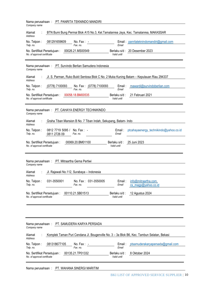| PT. PANRITA TEKNINDO MANDIRI<br>Nama perusahaan:<br>Company name                                               |                                                                |                            |                         |                              |                                                                                            |
|----------------------------------------------------------------------------------------------------------------|----------------------------------------------------------------|----------------------------|-------------------------|------------------------------|--------------------------------------------------------------------------------------------|
| BTN Bumi Bung Permai Blok A15 No.3, Kel.Tamalanrea Jaya, Kec. Tamalanrea, MAKASSAR<br>Alamat<br><b>Address</b> |                                                                |                            |                         |                              |                                                                                            |
| No. Telpon:<br>Telp. no.                                                                                       | 081291659609                                                   | No. Fax: $-$<br>Fax. no.   |                         | Email                        | Email: panritateknindomandiri@gmail.com                                                    |
| No. Sertifikat Persetujuan:<br>No. of approval certificate                                                     |                                                                | 00026.21.MS00549           |                         | Valid until                  | Berlaku s/d: 20 Desember 2023                                                              |
| Company name                                                                                                   | Nama perusahaan: PT. Survindo Berlian Samudera Indonesia       |                            |                         |                              |                                                                                            |
| Alamat<br><b>Address</b>                                                                                       |                                                                |                            |                         |                              | Jl. S. Parman, Ruko Bukit Sentosa Blok C No. 2 Muka Kuning Batam - Kepulauan Riau 294337   |
| No. Telpon:<br>Telp. no.                                                                                       | (0778) 7100093                                                 | Fax. no.                   | No. Fax: (0778) 7100093 | Email:<br>Email              | mawardi@survindoberlian.com                                                                |
| No. Sertifikat Persetujuan:<br>No. of approval certificate                                                     |                                                                | 00058.18.BM00535           |                         | Berlaku s/d:<br>Valid until  | 21 Februari 2021                                                                           |
| Company name                                                                                                   | Nama perusahaan: PT. CAHAYA ENERGY TECHNIKINDO                 |                            |                         |                              |                                                                                            |
| Alamat<br><b>Address</b>                                                                                       | Graha Tiban Mansion B No. 7 Tiban Indah, Sekupang, Batam- Indo |                            |                         |                              |                                                                                            |
| No. Telpon :<br>Telp. no.                                                                                      | 0812 7719 5095 /<br>0811 2726 09                               | No. Fax: $-$<br>Fax. no.   |                         | Email:<br>Email              | ptcahayaenergy_technikindo@yahoo.co.id                                                     |
| No. Sertifikat Persetujuan:<br>No. of approval certificate                                                     |                                                                | 00069.20.BM01100           |                         | Berlaku s/d :<br>Valid until | 25 Juni 2023                                                                               |
| Company name                                                                                                   | Nama perusahaan: PT. Mitraartha Gema Pertiwi                   |                            |                         |                              |                                                                                            |
| Alamat<br>Address                                                                                              | Jl. Rajawali No.112, Surabaya - Indonesia                      |                            |                         |                              |                                                                                            |
| No. Telpon:<br>Telp. no.                                                                                       | 031-3550001                                                    | No. Fax $:$<br>Fax. no.    | 031-3550005             | Email:<br>Email              | info@mitraartha.com,<br>cs_magp@yahoo.co.id                                                |
| No. Sertifikat Persetujuan:<br>No. of approval certificate                                                     |                                                                | 00110.21.SB01513           |                         | Berlaku s/d:<br>Valid until  | 12 Agustus 2024                                                                            |
|                                                                                                                |                                                                |                            |                         |                              |                                                                                            |
|                                                                                                                |                                                                |                            |                         |                              |                                                                                            |
| Nama perusahaan:<br>Company name                                                                               |                                                                | PT. SAMUDERA KARYA PERSADA |                         |                              |                                                                                            |
| Alamat<br><b>Address</b>                                                                                       |                                                                |                            |                         |                              | Komplek Taman Puri Cendana Jl. Bougenville No. 3 - 3a Blok B6, Kec. Tambun Selatan, Bekasi |
| No. Telpon:<br>Telp. no.                                                                                       | 081318677105                                                   | No. Fax: -<br>Fax. no.     |                         | Email:<br>Email              | ptsamuderakaryapersada@gmail.com                                                           |
| No. Sertifikat Persetujuan:<br>No. of approval certificate                                                     |                                                                | 00135.21.TP01332           |                         | Berlaku s/d:<br>Valid until  | 8 Oktober 2024                                                                             |
|                                                                                                                |                                                                |                            |                         |                              |                                                                                            |

Nama perusahaan : PT. WAHANA SINERGI MARITIM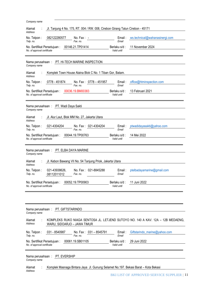| Company name                                                                                                                                  |
|-----------------------------------------------------------------------------------------------------------------------------------------------|
| Jl. Tanjung 4 No. 175, RT. 004 / RW. 008, Cirebon Girang Talun Cirebon - 45171<br>Alamat<br>Address                                           |
| No. Telpon:<br>082122280577<br>ws.technical@wahanasinergi.com<br>No. Fax: $-$<br>Email:<br>Fax. no.<br>Email<br>Telp. no.                     |
| 00146.21.TP01414<br>11 November 2024<br>Berlaku s/d:<br>No. Sertifikat Persetujuan :<br>No. of approval certificate<br>Valid until            |
|                                                                                                                                               |
| PT. HI-TECH MARINE INSPECTION<br>Nama perusahaan:<br>Company name                                                                             |
| Alamat<br>Komplek Town House Alaina Blok C No. 1 Tiban Gor, Batam.<br>Address                                                                 |
| No. Telpon:<br>0778 - 451874<br>No. Fax: 0778 - 451957<br>Email:<br>office@htminspection.com<br>Fax. no.<br>Telp. no.<br>Email                |
| 00036.19.BM00383<br>13 Februari 2021<br>No. Sertifikat Persetujuan:<br>Berlaku s/d:<br>Valid until<br>No. of approval certificate             |
|                                                                                                                                               |
| Nama perusahaan: PT. Wadi Daya Sakti<br>Company name                                                                                          |
| Jl. Alur Laut, Blok MM No. 27, Jakarta Utara<br>Alamat<br><b>Address</b>                                                                      |
| 021-4304204<br>No. Telpon:<br>No. Fax: 021-4304204<br>ptwadidayasakti@yahoo.com<br>Email:<br>Fax. no.<br>Telp. no.<br>Email                   |
| 00044.19.TP00763<br>14 Mei 2022<br>No. Sertifikat Persetujuan:<br>Berlaku s/d:<br>No. of approval certificate<br>Valid until                  |
|                                                                                                                                               |
|                                                                                                                                               |
| Nama perusahaan: PT. ELBA DAYA MARINE<br>Company name                                                                                         |
| Jl. Kebon Bawang VII No. 54 Tanjung Priok, Jakarta Utara<br>Alamat<br>Address                                                                 |
| 021-43938626.<br>No. Fax: 021-8845288<br>No. Telpon:<br>Email:<br>ptelbadayamarine@gmail.com<br>Email<br>Telp. no.<br>08112011012<br>Fax. no. |
| No. Sertifikat Persetujuan:<br>00052.19.TP00903<br>Berlaku s/d:<br>11 Juni 2022<br>Valid until<br>No. of approval certificate                 |
|                                                                                                                                               |
|                                                                                                                                               |
| Nama perusahaan: PT. GIFTSTARINDO<br>Company name                                                                                             |
| KOMPLEKS RUKO NIAGA SENTOSA JL. LETJEND SUTOYO NO. 140 A KAV. 12A - 12B MEDAENG,<br>Alamat<br>Address<br>WARU, SIDOARJO - JAWA TIMUR          |
| No. Fax: 031 - 8545791<br>No. Telpon:<br>031 - 8540987<br>Giftstarindo_marine@yahoo.com<br>Email:<br>Fax. no.<br>Telp. no.<br>Email           |
| 00061.19.SB01105<br>No. Sertifikat Persetujuan:<br>Berlaku s/d:<br>29 Juni 2022<br>Valid until<br>No. of approval certificate                 |
|                                                                                                                                               |
| Nama perusahaan:<br>PT. EVERSHIP<br>Company name                                                                                              |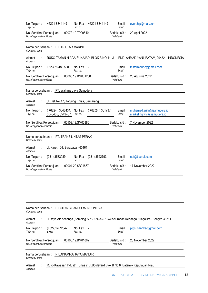| Nama perusahaan: PT.GILANG SAMUDRA INDONESIA<br>Company name                                                                       |                          |                          |                                                                                |                                                                                          |
|------------------------------------------------------------------------------------------------------------------------------------|--------------------------|--------------------------|--------------------------------------------------------------------------------|------------------------------------------------------------------------------------------|
| Alamat<br>Address                                                                                                                  |                          |                          |                                                                                | Jl.Raya Air Kenanga (Samping SPBU 24.332.124), Kelurahan Kenanga Sungailiat-Bangka 33211 |
| No. Telpon:<br>Telp. no.                                                                                                           | $(+62)812-7284-$<br>4787 | No. Fax: $-$<br>Fax. no. | Email :<br>Email                                                               | ptgsi.bangka@gmail.com                                                                   |
| 00105.19.BM01862<br>28 November 2022<br>No. Sertifikat Persetujuan:<br>Berlaku s/d :<br>Valid until<br>No. of approval certificate |                          |                          |                                                                                |                                                                                          |
| Nama perusahaan: PT.DINAMIKA JAYA MANDIRI<br>Company name                                                                          |                          |                          |                                                                                |                                                                                          |
| Alamat<br>Address                                                                                                                  |                          |                          | Ruko Kawasan Industri Tunas 2, Jl.Boulevard Blok B No.8 Batam – Kepulauan Riau |                                                                                          |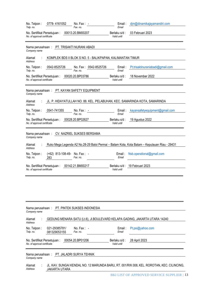| 0778-4161052<br>No. Fax: -<br>No. Telpon:<br>Telp. no.<br>Fax. no.                                                                                     | djm@dinamikajayamandiri.com<br>Email:<br>Email                                               |  |  |  |
|--------------------------------------------------------------------------------------------------------------------------------------------------------|----------------------------------------------------------------------------------------------|--|--|--|
| 00013.20.BM00207<br>No. Sertifikat Persetujuan:<br>No. of approval certificate                                                                         | 03 Februari 2023<br>Berlaku s/d:<br>Valid until                                              |  |  |  |
| PT. TRISAKTI NURANI ABADI<br>Nama perusahaan:<br>Company name                                                                                          |                                                                                              |  |  |  |
| Alamat<br>KOMPLEK BDS II BLOK S NO. 5 - BALIKPAPAN, KALIMANTAN TIMUR<br><b>Address</b>                                                                 |                                                                                              |  |  |  |
| No. Telpon:<br>0542-8525726<br>No. Fax: 0542-8525726<br>Telp. no.<br>Fax. no.                                                                          | Email:<br>Pt.trisaktinuraniabadi@gmail.com<br>Email                                          |  |  |  |
| 00020.20.BP03786<br>No. Sertifikat Persetujuan:<br>No. of approval certificate                                                                         | 18 November 2022<br>Berlaku s/d:<br>Valid until                                              |  |  |  |
| PT. KAYAN SAFETY EQUIPMENT<br>Nama perusahaan:<br>Company name<br>JL. P. HIDAYATULLAH NO. 88. KEL. PELABUHAN, KEC. SAMARINDA KOTA, SAMARINDA<br>Alamat |                                                                                              |  |  |  |
| Address<br>0541-741355<br>No. Telpon:<br>No. Fax: -<br>Fax. no.<br>Telp. no.                                                                           | kayansafetyequipment@gmail.com<br>Email:<br>Email                                            |  |  |  |
| 00028.20.BP02627<br>No. Sertifikat Persetujuan:<br>No. of approval certificate                                                                         | 19 Agustus 2022<br>Berlaku s/d:<br>Valid until                                               |  |  |  |
| CV. NAZRIEL SUKSES BERSAMA<br>Nama perusahaan:<br>Company name                                                                                         |                                                                                              |  |  |  |
| Alamat<br>Address                                                                                                                                      | Ruko Mega Legenda A2 No.28-29 Baloi Permai - Batam Kota, Kota Batam - Kepulauan Riau - 29431 |  |  |  |
| (+62) 813-108-49- No. Fax: -<br>No. Telpon:<br>Telp. no.<br>283<br>Fax. no.                                                                            | Nsb.operational@gmail.com<br>Email:<br>Email                                                 |  |  |  |
| 00142.21.BM00217<br>No. Sertifikat Persetujuan:<br>No. of approval certificate                                                                         | Berlaku s/d: 19 Februari 2023<br>Valid until                                                 |  |  |  |
|                                                                                                                                                        |                                                                                              |  |  |  |

| Company name                                               |                                           | Nama perusahaan: PT. PINTEK SUKSES INDONESIA |                             |                                                                                           |
|------------------------------------------------------------|-------------------------------------------|----------------------------------------------|-----------------------------|-------------------------------------------------------------------------------------------|
| Alamat<br>Address                                          |                                           |                                              |                             | GEDUNG MENARA SATU (Lt.6), JI.BOULEVARD KELAPA GADING, JAKARTA UTARA 14240                |
| No. Telpon:<br>Telp. no.                                   | 021-29385781/<br>081329053155             | No. Fax: $-$<br>Fax. no.                     | Email :<br>Email            | Pt.psi@yahoo.com                                                                          |
| No. Sertifikat Persetujuan:<br>No. of approval certificate |                                           | 00054.20.BP01206                             | Berlaku s/d:<br>Valid until | 28 April 2023                                                                             |
| Company name                                               | Nama perusahaan: PT. JALADRI SURYA TEHNIK |                                              |                             |                                                                                           |
| Alamat<br>Address                                          | JAKARTA UTARA                             |                                              |                             | JL. KAV. SUNGAI KENDAL NO. 12 MARUNDA BARU, RT. 001/RW.008, KEL. ROROTAN, KEC. CILINCING, |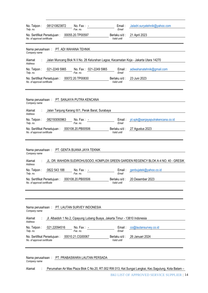| 081210823872<br>No. Telpon:<br>No. Fax: $-$<br>Telp. no.<br>Fax. no.                                                                                                                                                    | Email:<br>Email             | Jaladri.suryatehnik@yahoo.com    |
|-------------------------------------------------------------------------------------------------------------------------------------------------------------------------------------------------------------------------|-----------------------------|----------------------------------|
| 00055.20.TP00597<br>No. Sertifikat Persetujuan:<br>No. of approval certificate                                                                                                                                          | Berlaku s/d:<br>Valid until | 21 April 2023                    |
| Nama perusahaan: PT. ADI WAHANA TEHNIK<br>Company name                                                                                                                                                                  |                             |                                  |
| Jalan Muncang Blok N II No. 28 Kelurahan Lagoa, Kecamatan Koja - Jakarta Utara 14270<br>Alamat<br>Address                                                                                                               |                             |                                  |
| No. Telpon:<br>021-2249 5965<br>No. Fax: 021-2249 5965<br>Telp. no.<br>Fax. no.                                                                                                                                         | Email:<br>Email             | adiwahanatehnik@gmail.com        |
| 00072.20.TP00830<br>No. Sertifikat Persetujuan:<br>No. of approval certificate                                                                                                                                          | Berlaku s/d:<br>Valid until | 23 Juni 2023                     |
| Nama perusahaan: PT. SANJAYA PUTRA KENCANA<br>Company name                                                                                                                                                              |                             |                                  |
| Jalan Tanjung Karang III/1, Perak Barat, Surabaya<br>Alamat<br>Address                                                                                                                                                  |                             |                                  |
| 082193093963<br>No. Telpon:<br>No. Fax: $-$<br>Fax. no.<br>Telp. no.                                                                                                                                                    | Email:<br>Email             | pt.spk@sanjayaputrakencana.co.id |
| 000108.20.PB00506<br>No. Sertifikat Persetujuan:<br>No. of approval certificate                                                                                                                                         | Berlaku s/d:<br>Valid until | 27 Agustus 2023                  |
| Nama perusahaan: PT. GENTA BUANA JAYA TEKNIK<br>Company name<br>JL. DR. WAHIDIN SUDIROHUSODO, KOMPLEK GREEN GARDEN REGENCY BLOK A-4 NO. 40 - GRESIK<br>Alamat<br>Address<br>No. Telpon:<br>0822 543 188<br>No. Fax: $-$ | $E$ mail:                   | genbujatek@yahoo.co.id           |
| Telp. no.<br>Fax. no.                                                                                                                                                                                                   | Email                       |                                  |
| 000108.20.PB00506<br>No. Sertifikat Persetujuan:<br>No. of approval certificate                                                                                                                                         | Berlaku s/d:<br>Valid until | 20 Desember 2023                 |
| Nama perusahaan:<br>PT. LAUTAN SURVEY INDONESIA<br>Company name                                                                                                                                                         |                             |                                  |
| Jl. Albaidoh 1 No.2, Cipayung Lubang Buaya, Jakarta Timur - 13810 Indonesia<br>Alamat<br>Address                                                                                                                        |                             |                                  |
| No. Telpon:<br>021.22094516<br>No. Fax: $-$<br>Fax. no.<br>Telp. no.                                                                                                                                                    | Email:<br>Email             | co@lautansurvey.co.id            |
| 00010.21.CG00067<br>No. Sertifikat Persetujuan:<br>No. of approval certificate                                                                                                                                          | Berlaku s/d:<br>Valid until | 26 Januari 2024                  |
| PT. PRABASWARA LAUTAN PERSADA<br>Nama perusahaan:<br>Company name                                                                                                                                                       |                             |                                  |
| Alamat<br>Perumahan Air Mas Plaza Blok C No.20, RT.002 RW.013, Kel.Sungai Langkai, Kec.Sagulung, Kota Batam -                                                                                                           |                             |                                  |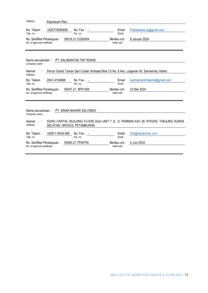| Address                                                    | Kepulauan Riau                             |                          |                             |                                                                                            |
|------------------------------------------------------------|--------------------------------------------|--------------------------|-----------------------------|--------------------------------------------------------------------------------------------|
| No. Telpon:<br>Telp. no.                                   | +620778394859                              | $No. Fax: -$<br>Fax. no. | Email:<br>Email             | Prabaswara.lp@gmail.com                                                                    |
| No. Sertifikat Persetujuan:<br>No. of approval certificate |                                            | 00016.21.CG00004         | Berlaku s/d:<br>Valid until | 8 Januari 2024                                                                             |
| Company name                                               | Nama perusahaan: PT. KALIMANTAN TIM TEKNIK |                          |                             |                                                                                            |
| Alamat<br>Address                                          |                                            |                          |                             | Perum Grand Taman Sari Cluster Ambalat Blok C3 No. 8 Kec. Loajanan Ilir, Samarinda, Kaltim |
| No. Telpon:<br>Telp. no.                                   | 0541-4104868                               | $No. Fax: -$<br>Fax. no. | Email:<br>Email             | kalimantantimteknik@gmail.com                                                              |
| No. Sertifikat Persetujuan:<br>No. of approval certificate |                                            | 00047.21. BP01365        | Berlaku s/d:<br>Valid until | 23 Mei 2024                                                                                |
| Company name<br>Alamat                                     | Nama perusahaan: PT. SINAR BAHARI SALVINDO |                          |                             | SOHO CAPITAL BUILDING FLOOR 32nd UNIT 7 JL. S. PARMAN KAV 28, RT03/05, TANJUNG DUREN       |
| Address                                                    | SELATAN, GROGOL PETAMBURAN                 |                          |                             |                                                                                            |
| No. Telpon:<br>Telp. no.                                   | +62811-9530-585                            | No. Fax: $-$<br>Fax. no. | Email:<br>Email             | info@sbsalvindo.com                                                                        |
| No. Sertifikat Persetujuan:<br>No. of approval certificate |                                            | 00060.21.TP00755         | Berlaku s/d:<br>Valid until | 6 Juni 2024                                                                                |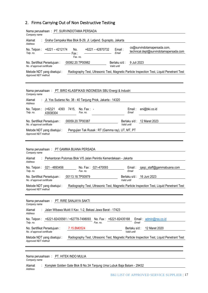## <span id="page-16-0"></span>2. Firms Carrying Out of Non Destructive Testing

| Nama perusahaan: PT. SURVINDOTAMA PERSADA<br>Company name                                                                                                                                  |
|--------------------------------------------------------------------------------------------------------------------------------------------------------------------------------------------|
| Alamat<br>Graha Cempaka Mas Blok B-29, Jl. Letjend. Suprapto, Jakarta<br><b>Address</b>                                                                                                    |
| cs@survindotamapersada.com,<br>$+6221 - 4212174$<br>$+6221 - 42870732$<br>No. Telpon:<br>Email:<br>No.<br>technical.dept@survindotamapersada.com<br>Email<br>Telp. no.<br>Fax:<br>Fax. no. |
| 00082.20.TP00982<br>9 Juli 2023<br>No. Sertifikat Persetujuan:<br>Berlaku s/d :<br>No. of approval certificate<br>Valid until                                                              |
| Metode NDT yang disetujui :<br>Radiography Test, Ultrasonic Test, Magnetic Particle Inspection Test, Liquid Penetrant Test<br>Approved NDT method                                          |
| Nama perusahaan: PT. BIRO KLASIFIKASI INDONESIA SBU Energi & Industri<br>Company name                                                                                                      |
| Jl. Yos Sudarso No. 38 - 40 Tanjung Priok, Jakarta - 14320<br>Alamat<br>Address                                                                                                            |
| $(+62)21$<br>7415,<br>eni@bki.co.id<br>No. Telpon:<br>4393<br>$No. Fax: -$<br>Email:<br>Email<br>Telp. no.<br>43938304<br>Fax. no.                                                         |
| 00059.20.TP00387<br>12 Maret 2023<br>No. Sertifikat Persetujuan:<br>Berlaku s/d :<br>No. of approval certificate<br>Valid until                                                            |
| Pengujian Tak Rusak: RT (Gamma ray), UT, MT, PT<br>Metode NDT yang disetujui :<br>Approved NDT method                                                                                      |
| Nama perusahaan: PT GAMMA BUANA PERSADA<br>Company name                                                                                                                                    |
| Perkantoran Pulomas Blok V/5 Jalan Perintis Kemerdekaan - Jakarta<br>Alamat<br>Address                                                                                                     |
| 021 - 4893456<br>No. Fax: 021-470093<br>No. Telpon :<br>Email:<br>qaqc_staff@gammabuana.com<br>Fax. no.<br>Fmail<br>Telp. no.                                                              |
| 00113.18.TP00979<br>No. Sertifikat Persetujuan:<br>Berlaku s/d :<br>16 Juni 2023<br>No. of approval certificate<br>Valid until                                                             |
| Metode NDT yang disetujui :<br>Radiography Test, Ultrasonic Test, Magnetic Particle Inspection Test, Liquid Penetrant Test<br>Approved NDT method                                          |
| Nama perusahaan: PT. RIRE SANJAYA SAKTI<br>Company name                                                                                                                                    |
| Jalan Wibawa Mukti II Kav. 1-2, Bekasi Jawa Barat - 17423<br>Alamat<br>Address                                                                                                             |
| +6221-82435561 / +62778-7498093<br>No. Fax: +6221-82435168<br>No. Telpon :<br>Email: admin@rss.co.id<br>Telp. no.<br>Fax. no.<br>Email                                                     |
| 7.15.BM0524<br>Berlaku s/d :<br>12 Maret 2020<br>No. Sertifikat Persetujuan :<br>No. of approval certificate<br>Valid until                                                                |
| Radiography Test, Ultrasonic Test, Magnetic Particle Inspection Test, Liquid Penetrant Test<br>Metode NDT yang disetujui :<br>Approved NDT method                                          |
|                                                                                                                                                                                            |

#### Nama perusahaan : *Company name* PT. HITEK INDO MULIA

**Alamat** Komplek Golden Gate Blok B No.3A Tanjung Uma Lubuk Baja Batam - 29432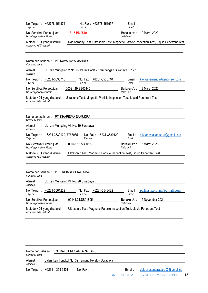| 18.15.BM0510<br>10 Maret 2020<br>No. Sertifikat Persetujuan :<br>Berlaku s/d :<br>No. of approval certificate<br>Valid until<br>Radiography Test, Ultrasonic Test, Magnetic Particle Inspection Test, Liquid Penetrant Test<br>Metode NDT yang disetujui :<br>Approved NDT method<br>Nama perusahaan: PT. KAVA JAYA MANDIRI<br>Company name<br>Jl. Ikan Mungsing V No. 99 Perak Barat - Krembangan Surabaya 60177<br>Alamat<br>Address<br>No. Telpon: +6231-3530710<br>No. Fax: +6231-3530710<br>Email:<br>kavajayamandiri@engineer.com<br>Telp. no.<br>Fax. no.<br>Email<br>00021.19.SB00445<br>13 Maret 2022<br>No. Sertifikat Persetujuan:<br>Berlaku s/d :<br>No. of approval certificate<br>Valid until<br>Ultrasonic Test, Magnetic Particle Inspection Test, Liquid Penetrant Test<br>Metode NDT yang disetujui :<br>Approved NDT method<br>Nama perusahaan: PT. KHARISMA SAMUDRA<br>Company name<br>: Jl. Ikan Mungsing VII No. 19 Surabaya<br>Alamat<br><b>Address</b><br>No. Fax: +6231-3539129<br>No. Telpon: +6231-3539129, 7768085<br>Email:<br>ptkharismasamudra@gmail.com<br>Telp. no.<br>Fax. no.<br>Email |
|----------------------------------------------------------------------------------------------------------------------------------------------------------------------------------------------------------------------------------------------------------------------------------------------------------------------------------------------------------------------------------------------------------------------------------------------------------------------------------------------------------------------------------------------------------------------------------------------------------------------------------------------------------------------------------------------------------------------------------------------------------------------------------------------------------------------------------------------------------------------------------------------------------------------------------------------------------------------------------------------------------------------------------------------------------------------------------------------------------------------------|
|                                                                                                                                                                                                                                                                                                                                                                                                                                                                                                                                                                                                                                                                                                                                                                                                                                                                                                                                                                                                                                                                                                                            |
|                                                                                                                                                                                                                                                                                                                                                                                                                                                                                                                                                                                                                                                                                                                                                                                                                                                                                                                                                                                                                                                                                                                            |
|                                                                                                                                                                                                                                                                                                                                                                                                                                                                                                                                                                                                                                                                                                                                                                                                                                                                                                                                                                                                                                                                                                                            |
|                                                                                                                                                                                                                                                                                                                                                                                                                                                                                                                                                                                                                                                                                                                                                                                                                                                                                                                                                                                                                                                                                                                            |
|                                                                                                                                                                                                                                                                                                                                                                                                                                                                                                                                                                                                                                                                                                                                                                                                                                                                                                                                                                                                                                                                                                                            |
|                                                                                                                                                                                                                                                                                                                                                                                                                                                                                                                                                                                                                                                                                                                                                                                                                                                                                                                                                                                                                                                                                                                            |
|                                                                                                                                                                                                                                                                                                                                                                                                                                                                                                                                                                                                                                                                                                                                                                                                                                                                                                                                                                                                                                                                                                                            |
|                                                                                                                                                                                                                                                                                                                                                                                                                                                                                                                                                                                                                                                                                                                                                                                                                                                                                                                                                                                                                                                                                                                            |
|                                                                                                                                                                                                                                                                                                                                                                                                                                                                                                                                                                                                                                                                                                                                                                                                                                                                                                                                                                                                                                                                                                                            |
|                                                                                                                                                                                                                                                                                                                                                                                                                                                                                                                                                                                                                                                                                                                                                                                                                                                                                                                                                                                                                                                                                                                            |
|                                                                                                                                                                                                                                                                                                                                                                                                                                                                                                                                                                                                                                                                                                                                                                                                                                                                                                                                                                                                                                                                                                                            |
|                                                                                                                                                                                                                                                                                                                                                                                                                                                                                                                                                                                                                                                                                                                                                                                                                                                                                                                                                                                                                                                                                                                            |
| 00066.18.SB00567<br>08 Maret 2023<br>No. Sertifikat Persetujuan:<br>Berlaku s/d :<br>No. of approval certificate<br>Valid until                                                                                                                                                                                                                                                                                                                                                                                                                                                                                                                                                                                                                                                                                                                                                                                                                                                                                                                                                                                            |
| Ultrasonic Test, Magnetic Particle Inspection Test, Liquid Penetrant Test<br>Metode NDT yang disetujui :<br>Approved NDT method                                                                                                                                                                                                                                                                                                                                                                                                                                                                                                                                                                                                                                                                                                                                                                                                                                                                                                                                                                                            |
|                                                                                                                                                                                                                                                                                                                                                                                                                                                                                                                                                                                                                                                                                                                                                                                                                                                                                                                                                                                                                                                                                                                            |
| Nama perusahaan: PT. TRIHASTA PRATAMA<br>Company name                                                                                                                                                                                                                                                                                                                                                                                                                                                                                                                                                                                                                                                                                                                                                                                                                                                                                                                                                                                                                                                                      |
| Jl. Ikan Mungsing VII No. 90 Surabaya<br>Alamat<br>Address                                                                                                                                                                                                                                                                                                                                                                                                                                                                                                                                                                                                                                                                                                                                                                                                                                                                                                                                                                                                                                                                 |
| +6231-3561229<br>No. Fax: +6231-3543482<br>No. Telpon:<br>Email:<br>ptrihasta.pratam@gmail.com<br>Telp. no.<br>Fax. no.<br>Email                                                                                                                                                                                                                                                                                                                                                                                                                                                                                                                                                                                                                                                                                                                                                                                                                                                                                                                                                                                           |
| 00141.21.SB01805<br>15 November 2024<br>No. Sertifikat Persetujuan:<br>Berlaku s/d :<br>Valid until<br>No. of approval certificate                                                                                                                                                                                                                                                                                                                                                                                                                                                                                                                                                                                                                                                                                                                                                                                                                                                                                                                                                                                         |
| Ultrasonic Test, Magnetic Particle Inspection Test, Liquid Penetrant Test<br>Metode NDT yang disetujui :<br>Approved NDT method                                                                                                                                                                                                                                                                                                                                                                                                                                                                                                                                                                                                                                                                                                                                                                                                                                                                                                                                                                                            |

| Company name      | Nama perusahaan: PT. DALUT NUSANTARA BARU            |              |           |                                            |
|-------------------|------------------------------------------------------|--------------|-----------|--------------------------------------------|
| Alamat<br>Address | : Jalan Ikan Tongkol No. 32 Tanjung Perak – Surabaya |              |           |                                            |
|                   | No. Telpon: $+6231 - 3556801$                        | No. Fax: $-$ | Email : - | dalut.nusantarabaru03@gmail.co             |
|                   |                                                      |              |           | BKI LIST OF APPROVED SERVICE SUPPLIER   18 |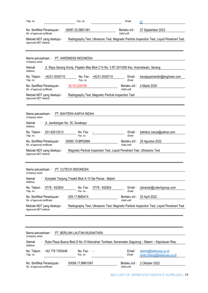| Telp. no.<br>Fax. no.                                                           | Email                                                                                        | m                            |
|---------------------------------------------------------------------------------|----------------------------------------------------------------------------------------------|------------------------------|
| 00087.20.SB01361<br>No. Sertifikat Persetujuan :<br>No. of approval certificate | Berlaku s/d :<br>Valid until                                                                 | 07 September 2023            |
| Metode NDT yang disetujui :<br>Approved NDT method                              | Radiography Test, Ultrasonic Test, Magnetic Particle Inspection Test, Liquid Penetrant Test  |                              |
| Nama perusahaan: PT. HARDNESS INDONESIA<br>Company name                         |                                                                                              |                              |
| Alamat<br>Address                                                               | : Jl. Raya Serang Komp. Pejaten Mas Blok C14 No. 3 RT.001/006 Kec. Kramatwatu, Serang        |                              |
| No. Telpon: +6231-3530710<br>Fax. no.<br>Telp. no.                              | No. Fax: +6231-3530710<br>Email:<br>Email                                                    | kavajayamandiri@engineer.com |
| 19.15.CG0190<br>No. Sertifikat Persetujuan:<br>No. of approval certificate      | Berlaku s/d :<br>Valid until                                                                 | 4 Maret 2020                 |
| Metode NDT yang disetujui :<br>Approved NDT method                              | Radiography Test, Magnetic Particle Inspection Test                                          |                              |
|                                                                                 |                                                                                              |                              |
| Nama perusahaan: PT. BAHTERA KARYA INDAH<br>Company name                        |                                                                                              |                              |
| : Jl. Jambangan No. 35, Surabaya<br>Alamat<br><b>Address</b>                    |                                                                                              |                              |
| No. Telpon: 031-82512513<br>No. Fax: $-$<br>Fax. no.<br>Telp. no.               | Email:<br>Email                                                                              | bahtera_karya@yahoo.com      |
| 00085.19.BP02684<br>No. Sertifikat Persetujuan:<br>No. of approval certificate  | Valid until                                                                                  | Berlaku s/d: 25 Agustus 2022 |
| Metode NDT yang disetujui :<br>Approved NDT method                              | Magnetic Particle Inspection Test, Liquid Penetrant Test, Ultrasonic Test                    |                              |
|                                                                                 |                                                                                              |                              |
| Nama perusahaan: PT. CUTECH INDONESIA<br>Company name                           |                                                                                              |                              |
| Komplek Tanjung Trisakti Blok A-10 Sei Panas - Batam<br>Alamat<br>Address       |                                                                                              |                              |
| 0778 - 452924<br>No. Telpon:<br>No. Fax:<br>Fax. no.<br>Telp. no.               | 0778 - 452924<br>Email:<br>Email                                                             | darwizar@cutechgroup.com     |
| No. Sertifikat Persetujuan:<br>059.17.BM0474<br>No. of approval certificate     | Berlaku s/d:<br>Valid until                                                                  | 25 April 2022                |
| Metode NDT yang disetujui :<br>Approved NDT method                              | Radiography Test, Ultrasonic Test, Magnetic Particle Inspection Test, Liquid Penetrant Test  |                              |
|                                                                                 |                                                                                              |                              |
|                                                                                 |                                                                                              |                              |
| Nama perusahaan: PT. BERLIAN LAUTAN NUSANTARA<br>Company name                   |                                                                                              |                              |
| Alamat<br><b>Address</b>                                                        | Ruko Plaza Buana Blok-D No.10 Kelurahan Tembesi, Kecamatan Sagulung - Batam - Kepulauan Riau |                              |
| No. Telpon:<br>+62 778 7355448<br>No. Fax:                                      | Email:                                                                                       | admin@belanusa.co.id         |

No. Sertifikat Persetujuan : *No. of approval certificate* 00099.17.BM01067

2 Oktober 2022

 *Valid until*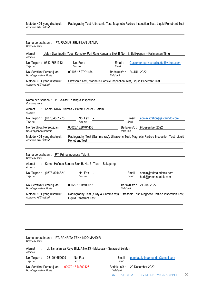Metode NDT yang disetujui : *Approved NDT method* Radiography Test, Ultrasonic Test, Magnetic Particle Inspection Test, Liquid Penetrant Test

| Nama perusahaan:<br>Company name                                  | PT. RADIUS SEMBILAN UTAMA                                                                      |                              |                 |                                                                                           |
|-------------------------------------------------------------------|------------------------------------------------------------------------------------------------|------------------------------|-----------------|-------------------------------------------------------------------------------------------|
| Alamat<br>Address                                                 | Jalan Syarifuddin Yoes, Komplek Puri Ratu Kencana Blok B No. 18, Balikpapan - Kalimantan Timur |                              |                 |                                                                                           |
| No. Telpon: 0542-7581342<br>Telp. no.                             | No. Fax: $-$<br>Fax no                                                                         | $E$ mail:<br>Email           |                 | Customer_serviceradius9u@yahoo.com                                                        |
| No. Sertifikat Persetujuan:<br>No. of approval certificate        | 00107.17.TP01154                                                                               | Berlaku s/d :<br>Valid until | 24 JULI 2022    |                                                                                           |
| Metode NDT yang disetujui :<br>Approved NDT method                | Ultrasonic Test, Magnetic Particle Inspection Test, Liquid Penetrant Test                      |                              |                 |                                                                                           |
|                                                                   |                                                                                                |                              |                 |                                                                                           |
| Nama perusahaan : PT. A-Star Testing & Inspection<br>Company name |                                                                                                |                              |                 |                                                                                           |
| Alamat<br>Address                                                 | Komp. Ruko Purimas 2 Batam Center - Batam                                                      |                              |                 |                                                                                           |
| No. Telpon:<br>(0778)4801275<br>Telp. no.                         | No. Fax $: -$<br>Fax. no.                                                                      |                              | Email:<br>Email | administration@astarindo.com                                                              |
| No. Sertifikat Persetujuan:<br>No. of approval certificate        | 00023.18.BM01433                                                                               | Valid until                  | Berlaku s/d:    | 9 Desember 2022                                                                           |
| Metode NDT yang disetujui :<br>Approved NDT method                | <b>Penetrant Test</b>                                                                          |                              |                 | Radiography Test (Gamma ray), Ultrasonic Test, Magnetic Particle Inspection Test, Liquid  |
| Nama perusahaan: PT. Prima Indonusa Teknik<br>Company name        |                                                                                                |                              |                 |                                                                                           |
| Alamat<br>Address                                                 | Komp. Hafindo Square Blok B. No. 5, Tiban - Sekupang                                           |                              |                 |                                                                                           |
| $(0778 - 8014821)$<br>No. Telpon:<br>Telp. no.                    | No. Fax : -<br>Fax. no.                                                                        |                              | Email:<br>Email | admin@primaindotek.com<br>budi@primaindotek.com                                           |
| No. Sertifikat Persetujuan:<br>No. of approval certificate        | 00022.18.BM00615                                                                               | Valid until                  |                 | Berlaku s/d: 21 Juni 2022                                                                 |
| Metode NDT yang disetujui :<br>Approved NDT method                | <b>Liquid Penetrant Test</b>                                                                   |                              |                 | Radiography Test (X ray & Gamma ray), Ultrasonic Test, Magnetic Particle Inspection Test, |
|                                                                   |                                                                                                |                              |                 |                                                                                           |

| Company name                                               |              | Nama perusahaan: PT. PANRITA TEKNINDO MANDIRI                 |                             |                                  |
|------------------------------------------------------------|--------------|---------------------------------------------------------------|-----------------------------|----------------------------------|
| Alamat<br>Address                                          |              | Jl. Tamalanrea Raya Blok A No.13 - Makassar- Sulawesi Selatan |                             |                                  |
| No. Telpon:<br>Telp. no.                                   | 081291659609 | No. Fax: $-$<br>Fax. no.                                      | Email:<br>Email             | panritateknindomandiri@gmail.com |
| No. Sertifikat Persetujuan:<br>No. of approval certificate |              | 00070.18.MS00426                                              | Berlaku s/d:<br>Valid until | 20 Desember 2020                 |

BKI LIST OF APPROVED SERVICE SUPPLIER | 20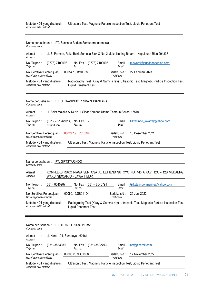| Metode NDT yang disetujui : | Ultrasonic Test, Magnetic Particle Inspection Test, Liquid Penetrant Test |
|-----------------------------|---------------------------------------------------------------------------|
| Approved NDT method         |                                                                           |

| Nama perusahaan : PT. Survindo Berlian Samudera Indonesia<br>Company name                                                                                                       |
|---------------------------------------------------------------------------------------------------------------------------------------------------------------------------------|
| Jl. S. Parman, Ruko Bukit Sentosa Blok C No. 2 Muka Kuning Batam - Kepulauan Riau 294337<br>Alamat<br>Address                                                                   |
| No. Telpon:<br>(0778) 7100093<br>No. Fax: (0778) 7100093<br>mawardi@survindoberlian.com<br>Email:<br>Fax. no.<br>Telp. no.<br>Email                                             |
| 00054.18.BM00580<br>Berlaku s/d:<br>22 Februari 2023<br>No. Sertifikat Persetujuan:<br>No. of approval certificate<br>Valid until                                               |
| Metode NDT yang disetujui :<br>Radiography Test (X ray & Gamma ray), Ultrasonic Test, Magnetic Particle Inspection Test,<br>Approved NDT method<br><b>Liquid Penetrant Test</b> |
| Nama perusahaan: PT. ULTRASINDO PRIMA NUSANTARA<br>Company name                                                                                                                 |
| Jl. Selat Malaka A 13 No. 1 Sinar Kompas Utama Tambun Bekasi 17510<br>Alamat<br>Address                                                                                         |
| No. Telpon:<br>$(021) - 91261014$ , No. Fax: -<br>Email:<br>Ultrasindo_jakarta@yahoo.com<br>Telp. no.<br>Fax. no.<br>Email<br>88363984                                          |
| 10 Desember 2021<br>00027.19.TP01839<br>No. Sertifikat Persetujuan:<br>Berlaku s/d :<br>No. of approval certificate<br>Valid until                                              |
| Ultrasonic Test, Magnetic Particle Inspection Test, Liquid Penetrant Test<br>Metode NDT yang disetujui :<br>Approved NDT method                                                 |
| Nama perusahaan: PT. GIFTSTARINDO<br>Company name                                                                                                                               |
| KOMPLEKS RUKO NIAGA SENTOSA JL. LETJEND SUTOYO NO. 140 A KAV. 12A - 12B MEDAENG,<br>Alamat<br>Address<br>WARU, SIDOARJO - JAWA TIMUR                                            |
| 031 - 8540987<br>No. Fax: 031 - 8545791<br>Giftstarindo marine@yahoo.com<br>No. Telpon :<br>Email :<br>Email<br>Telp. no.<br>Fax. no.                                           |
| 00060.19.SB01104<br>29 Juni 2022<br>Berlaku s/d:<br>No. Sertifikat Persetujuan:<br>No. of approval certificate<br>Valid until                                                   |
| Radiography Test (X ray & Gamma ray), Ultrasonic Test, Magnetic Particle Inspection Test,<br>Metode NDT yang disetujui :<br>Approved NDT method<br><b>Liquid Penetrant Test</b> |
|                                                                                                                                                                                 |
| Nama perusahaan: PT. TRANS LINTAS PERAK<br>Company name                                                                                                                         |
| Jl. Karet 104, Surabaya - 60161<br>Alamat<br><b>Address</b>                                                                                                                     |
| No. Telpon:<br>(031) 3533989<br>No. Fax: (031) 3522793<br>Email:<br>ndt@tlperak.com<br>Fax. no.<br>Telp. no.<br>Email                                                           |
| 00003.20.SB01868<br>No. Sertifikat Persetujuan:<br>Berlaku s/d:<br>17 November 2022<br>No. of approval certificate<br>Valid until                                               |
| Ultrasonic Test, Magnetic Particle Inspection Test, Liquid Penetrant Test<br>Metode NDT yang disetujui :<br>Approved NDT method                                                 |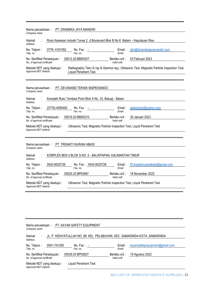| Nama perusahaan: PT. DINAMIKA JAYA MANDIRI<br>Company name                                                                                                                      |  |  |  |  |  |
|---------------------------------------------------------------------------------------------------------------------------------------------------------------------------------|--|--|--|--|--|
| Ruko Kawasan Industri Tunas 2, Jl.Boulevard Blok B No.8 Batam - Kepulauan Riau<br>Alamat<br>Address                                                                             |  |  |  |  |  |
| 0778-4161052<br>dim@dinamikajayamandiri.com<br>No. Telpon:<br>No. Fax: $-$<br>Email:<br>Fax. no.<br>Telp. no.<br>Email                                                          |  |  |  |  |  |
| 00012.20.BM00207<br>03 Februari 2023<br>No. Sertifikat Persetujuan:<br>Berlaku s/d :<br>No. of approval certificate<br>Valid until                                              |  |  |  |  |  |
| Radiography Test (X ray & Gamma ray), Ultrasonic Test, Magnetic Particle Inspection Test,<br>Metode NDT yang disetujui :<br>Approved NDT method<br><b>Liquid Penetrant Test</b> |  |  |  |  |  |
|                                                                                                                                                                                 |  |  |  |  |  |
| Nama perusahaan: PT. DEVANAND TEKNIK INSPEKSINDO<br>Company name                                                                                                                |  |  |  |  |  |
| Komplek Ruko Tembesi Point Blok A No. 33, Batuaji - Batam<br>Alamat<br>Address                                                                                                  |  |  |  |  |  |
| No. Telpon:<br>(0778)-4095483<br>deteksindo@yahoo.com<br>No. Fax $: -$<br>$E$ mail:<br>Fax. no.<br>Telp. no.<br>Email                                                           |  |  |  |  |  |
| 00019.20.BM00210<br>30 Januari 2023<br>No. Sertifikat Persetujuan:<br>Berlaku s/d :<br>No. of approval certificate<br>Valid until                                               |  |  |  |  |  |
| Ultrasonic Test, Magnetic Particle Inspection Test, Liquid Penetrant Test<br>Metode NDT yang disetujui :<br>Approved NDT method                                                 |  |  |  |  |  |
|                                                                                                                                                                                 |  |  |  |  |  |
| Nama perusahaan: PT. TRISAKTI NURANI ABADI<br>Company name                                                                                                                      |  |  |  |  |  |
| KOMPLEK BDS II BLOK S NO. 5 - BALIKPAPAN, KALIMANTAN TIMUR<br>Alamat<br>Address                                                                                                 |  |  |  |  |  |
| 0542-8525726<br>No. Fax: 0542-8525726<br>Email:<br>Pt.trisaktinuraniabadi@gmail.com<br>No. Telpon:<br>Telp. no.<br>Fax. no.<br>Fmail                                            |  |  |  |  |  |
| 00025.20.BP03687<br>18 November 2022<br>No. Sertifikat Persetujuan:<br>Berlaku s/d :<br>No. of approval certificate<br>Valid until                                              |  |  |  |  |  |
| Ultrasonic Test, Magnetic Particle Inspection Test, Liquid Penetrant Test<br>Metode NDT yang disetujui :<br>Approved NDT method                                                 |  |  |  |  |  |
|                                                                                                                                                                                 |  |  |  |  |  |

| Nama perusahaan: PT. KAYAN SAFETY EQUIPMENT<br>Company name                                     |                             |                                |
|-------------------------------------------------------------------------------------------------|-----------------------------|--------------------------------|
| JL. P. HIDAYATULLAH NO. 88. KEL. PELABUHAN, KEC. SAMARINDA KOTA, SAMARINDA<br>Alamat<br>Address |                             |                                |
| 0541-741355<br>No. Telpon:<br>No. Fax: $-$<br>Telp. no.<br>Fax. no.                             | Email:<br>Email             | kayansafetyequipment@gmail.com |
| 00029.20.BP02627<br>No. Sertifikat Persetujuan:<br>No. of approval certificate                  | Berlaku s/d:<br>Valid until | 19 Agustus 2022                |
| <b>Liquid Penetrant Test</b><br>Metode NDT yang disetujui :<br>Approved NDT method              |                             |                                |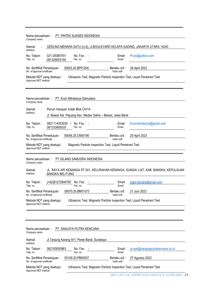| Company name                                               |                                              | Nama perusahaan: PT. PINTEK SUKSES INDONESIA                              |                              |                                                                                     |
|------------------------------------------------------------|----------------------------------------------|---------------------------------------------------------------------------|------------------------------|-------------------------------------------------------------------------------------|
| Alamat<br>Address                                          |                                              |                                                                           |                              | GEDUNG MENARA SATU (Lt.6), JI.BOULEVARD KELAPA GADING, JAKARTA UTARA 14240          |
| No. Telpon:<br>Telp. no.                                   | 021-29385781/<br>081329053155                | No. Fax: $-$<br>Fax. no.                                                  | Email:<br>Email              | Pt.psi@yahoo.com                                                                    |
| No. Sertifikat Persetujuan:<br>No. of approval certificate |                                              | 00053.20.BP01204                                                          | Berlaku s/d:<br>Valid until  | 28 April 2023                                                                       |
| Metode NDT yang disetujui :<br>Approved NDT method         |                                              | Ultrasonic Test, Magnetic Particle Inspection Test, Liquid Penetrant Test |                              |                                                                                     |
|                                                            |                                              |                                                                           |                              |                                                                                     |
| Company name                                               |                                              | Nama perusahaan: PT. Econ Mitrakarya Samudera                             |                              |                                                                                     |
| Alamat                                                     | Perum Harapan Indah Blok CH/14               |                                                                           |                              |                                                                                     |
| Address                                                    |                                              | Jl. Mawar Kel. Pejuang Kec. Medan Satria - Bekasi, Jawa Barat             |                              |                                                                                     |
| No. Telpon:<br>Telp. no.                                   | 0821114353030 /<br>081333905035              | No. Fax: -<br>Fax. no.                                                    | Email:<br>Email              | Econmitrakarya@gmail.com                                                            |
| No. of approval certificate                                | No. Sertifikat Persetujuan: 00056.20.CN00190 |                                                                           | Berlaku s/d :<br>Valid until | 29 April 2023                                                                       |
| Metode NDT yang disetujui :<br>Approved NDT method         |                                              | Magnetic Particle Inspection Test, Liquid Penetrant Test                  |                              |                                                                                     |
| Company name                                               |                                              | Nama perusahaan: PT.GILANG SAMUDRA INDONESIA                              |                              |                                                                                     |
| Alamat<br>Address                                          | <b>BANGKA BELITUNG</b>                       |                                                                           |                              | JL. RAYA AIR KENANGA RT.001, KELURAHAN KENANGA, SUNGAI LIAT, KAB. BANGKA, KEPULAUAN |
| No. Telpon:<br>Telp. no.                                   | (+62)81272844787                             | No. Fax: $-$<br>Fax. no.                                                  | Email:<br>Email              | ptgsi.bangka@gmail.com                                                              |
| No. Sertifikat Persetujuan:                                |                                              |                                                                           |                              |                                                                                     |
| No. of approval certificate                                |                                              | 00070.20.BM01073                                                          | Berlaku s/d :<br>Valid until | 21 Juni 2023                                                                        |
| Metode NDT yang disetujui :<br>Approved NDT method         |                                              | Ultrasonic Test, Magnetic Particle Inspection Test, Liquid Penetrant Test |                              |                                                                                     |
|                                                            |                                              |                                                                           |                              |                                                                                     |
| Company name                                               |                                              | Nama perusahaan: PT. SANJAYA PUTRA KENCANA                                |                              |                                                                                     |
| Alamat<br><b>Address</b>                                   |                                              | Jl. Tanjung Karang III/1, Perak Barat, Surabaya                           |                              |                                                                                     |
| No. Telpon:<br>Telp. no.                                   | 082193093963                                 | No. Fax: $-$<br>Fax. no.                                                  | Email:<br>Email              | pt.spk@sanjayaputrakencana.co.id                                                    |
| No. Sertifikat Persetujuan:<br>No. of approval certificate |                                              | 00109.20.PB00507                                                          | Berlaku s/d:<br>Valid until  | 27 Agustus 2023                                                                     |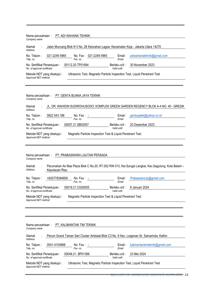| Nama perusahaan: PT. ADI WAHANA TEHNIK<br>Company name                                                                                                        |
|---------------------------------------------------------------------------------------------------------------------------------------------------------------|
| Jalan Muncang Blok N II No. 28 Kelurahan Lagoa, Kecamatan Koja - Jakarta Utara 14270<br>Alamat<br><b>Address</b>                                              |
| 021-2249 5965<br>No. Fax: 021-2249 5965<br>adiwahanatehnik@gmail.com<br>No. Telpon:<br>Email:<br>Fax. no.<br>Telp. no.<br>Email                               |
| 00112.20.TP01694<br>30 November 2023<br>No. Sertifikat Persetujuan:<br>Berlaku s/d :<br>No. of approval certificate<br>Valid until                            |
| Ultrasonic Test, Magnetic Particle Inspection Test, Liquid Penetrant Test<br>Metode NDT yang disetujui :<br>Approved NDT method                               |
| Nama perusahaan: PT. GENTA BUANA JAYA TEKNIK<br>Company name<br>JL. DR. WAHIDIN SUDIROHUSODO, KOMPLEK GREEN GARDEN REGENCY BLOK A-4 NO. 40 - GRESIK<br>Alamat |
| Address<br>No. Telpon:<br>0822 543 188<br>genbujatek@yahoo.co.id<br>No. Fax: $-$<br>Email:                                                                    |
| Fax. no.<br>Telp. no.<br>Email                                                                                                                                |
| No. Sertifikat Persetujuan: 00007.21.SB02057<br>20 Desember 2023<br>Berlaku s/d:<br>No. of approval certificate<br>Valid until                                |
| Metode NDT yang disetujui :<br>Magnetic Particle Inspection Test & Liquid Penetrant Test<br>Approved NDT method                                               |
|                                                                                                                                                               |
|                                                                                                                                                               |
| Nama perusahaan: PT. PRABASWARA LAUTAN PERSADA<br>Company name                                                                                                |
| Perumahan Air Mas Plaza Blok C No.20, RT.002 RW.013, Kel.Sungai Langkai, Kec.Sagulung, Kota Batam -<br>Alamat<br>Address<br>Kepulauan Riau                    |
| No. Telpon:<br>+620778394859<br>No. Fax: $-$<br>Prabaswara.lp@gmail.com<br>Email:<br>Telp. no.<br>Fax. no.<br>Email                                           |
| No. Sertifikat Persetujuan :<br>00019.21.CG00005<br>Berlaku s/d:<br>8 Januari 2024<br>Valid until                                                             |
| No. of approval certificate<br>Magnetic Particle Inspection Test & Liquid Penetrant Test<br>Metode NDT yang disetujui :<br>Approved NDT method                |
|                                                                                                                                                               |
|                                                                                                                                                               |
| Nama perusahaan:<br>PT. KALIMANTAN TIM TEKNIK<br>Company name                                                                                                 |
| Alamat<br>Perum Grand Taman Sari Cluster Ambalat Blok C3 No. 8 Kec. Loajanan Ilir, Samarinda, Kaltim<br>Address                                               |
| 0541-4104868<br>kalimantantimteknik@gmail.com<br>No. Telpon:<br>No. Fax:<br>Email:<br>Fax. no.<br>Email                                                       |
| Telp. no.<br>00048.21. BP01366<br>23 Mei 2024<br>No. Sertifikat Persetujuan:<br>Berlaku s/d:<br>No. of approval certificate<br>Valid until                    |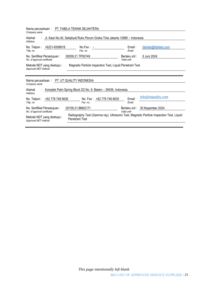| Company name                                                                                                   | Nama perusahaan: PT. FABILA TEKNIK SEJAHTERA                                 |                             |                               |  |
|----------------------------------------------------------------------------------------------------------------|------------------------------------------------------------------------------|-----------------------------|-------------------------------|--|
| Alamat<br>Address                                                                                              | : Jl. Kawi No.40, Setiabudi Ruko Perum Graha Tirta Jakarta 12980 - Indonesia |                             |                               |  |
| No. Telpon: +6221-8308618<br>Telp. no.                                                                         | $No.Fax: -$<br>Fax. no.                                                      | Email:<br>Email             | fabilats@fabilats.com         |  |
| No. Sertifikat Persetujuan:<br>No. of approval certificate                                                     | 00059.21.TP00749                                                             | Berlaku s/d:<br>Valid until | 6 Juni 2024                   |  |
| Magnetic Particle Inspection Test, Liquid Penetrant Test<br>Metode NDT yang disetujui :<br>Approved NDT method |                                                                              |                             |                               |  |
| Nama perusahaan: PT. UT QUALITY INDONESIA<br>Company name                                                      |                                                                              |                             |                               |  |
|                                                                                                                |                                                                              |                             |                               |  |
| Alamat<br>Address                                                                                              | : Komplek Palm Spring Block D2 No. 8, Batam - 29436, Indonesia.              |                             |                               |  |
| No. Telpon: +62 778 748 6636<br>Telp. no.                                                                      | No. Fax: +62 778 748 6635<br>Fax. no.                                        | Email:<br>Email             | info@utquality.com            |  |
| No. Sertifikat Persetujuan :<br>No. of approval certificate                                                    | 00159.21.BM02171                                                             | Valid until                 | Berlaku s/d: 30 Nopember 2024 |  |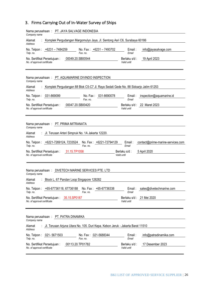# <span id="page-25-0"></span>3. Firms Carrying Out of In-Water Survey of Ships

| Nama perusahaan: PT. JAYA SALVAGE INDONESIA<br>Company name                                             |                                                      |
|---------------------------------------------------------------------------------------------------------|------------------------------------------------------|
| Komplek Pergudangan Margomulyo Jaya, Jl. Sentong Asri C6, Surabaya 60186<br>Alamat<br>Address           |                                                      |
| No. Telpon: +6231 - 7484259<br>No. Fax: +6231 - 7493702<br>Fax. no.<br>Telp. no.                        | Email:<br>info@jayasalvage.com<br>Email              |
| 00049.20.SB00544<br>No. Sertifikat Persetujuan:<br>No. of approval certificate                          | Berlaku s/d:<br>19 April 2023<br>Valid until         |
| Nama perusahaan: PT. AQUAMARINE DIVINDO INSPECTION<br>Company name                                      |                                                      |
| Komplek Pergudangan 88 Blok C5-C7 Jl. Raya Sedati Gede No. 88 Sidoarjo Jatim 61253<br>Alamat<br>Address |                                                      |
| 031-869099<br>031-8690078<br>No. Telpon:<br>No. Fax:<br>Fax. no.<br>Telp. no.                           | Email:<br>inspection@aquamarine.id<br>Email          |
| 00047.20.SB00420<br>No. Sertifikat Persetujuan:<br>No. of approval certificate                          | 22 Maret 2023<br>Berlaku s/d :<br>Valid until        |
| Nama perusahaan: PT. PRIMA MITRANATA<br>Company name                                                    |                                                      |
| : Jl. Terusan Arteri Simpruk No. 1A Jakarta 12220.<br>Alamat<br>Address                                 |                                                      |
| No. Telpon: +6221-7269124, 7233524<br>No. Fax: +6221-72794129<br>Telp. no.<br>Fax. no.                  | Email:<br>contact@prime-marine-services.com<br>Email |
| 31.15.TP1058<br>No. Sertifikat Persetujuan:<br>No. of approval certificate                              | Berlaku s/d:<br>5 April 2020<br>Valid until          |
| Nama perusahaan: DIVETECH MARINE SERVICES PTE. LTD<br>Company name                                      |                                                      |
| Block L, 67 Pandan Loop Singapore 128282<br>Alamat<br>Address                                           |                                                      |
| +65-67736118, 67736188<br>No. Fax: +65-67736338<br>No. Telpon :<br>Telp. no.<br>Fax. no.                | sales@divetechmarine.com<br>Email :<br>Email         |
| No. Sertifikat Persetujuan: 35.15.SP0187<br>No. of approval certificate                                 | Berlaku s/d:<br>21 Mei 2020<br>Valid until           |
| Nama perusahaan: PT. PATRA DINAMIKA<br>Company name                                                     |                                                      |
| Jl. Terusan Arjuna Utara No. 105. Duri Kepa. Kebon Jeruk - Jakarta Barat 11510<br>Alamat<br>Address     |                                                      |
|                                                                                                         |                                                      |
| 021-5671503<br>No. Fax: 021-5688344<br>No. Telpon:<br>Fax. no.<br>Telp. no.                             | Email:<br>info@patradinamika.com<br>Email            |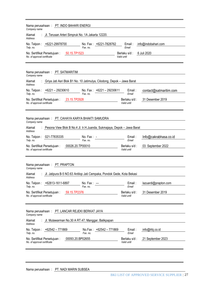| Company name                | Nama perusahaan: PT. INDO BAHARI ENERGI                                  |                                                                        |                              |                        |
|-----------------------------|--------------------------------------------------------------------------|------------------------------------------------------------------------|------------------------------|------------------------|
| Alamat<br>Address           | Jl. Terusan Arteri Simpruk No. 1A Jakarta 12220.                         |                                                                        |                              |                        |
| Telp. no.                   | No. Telpon: +6221-29978700                                               | No. Fax: +6221-7828762<br>Fax. no.                                     | Email:<br>Email              | info@indobahari.com    |
| No. of approval certificate | No. Sertifikat Persetujuan:<br>50.15.TP1523                              |                                                                        | Berlaku s/d :<br>Valid until | 6 Juli 2020            |
| Company name                | Nama perusahaan: PT. SATMARITIM                                          |                                                                        |                              |                        |
| Alamat<br>Address           | : Griya Jati Asri Blok B1 No. 10 Jatimulya, Cilodong, Depok - Jawa Barat |                                                                        |                              |                        |
| Telp. no.                   | No. Telpon: +6221 - 29230610                                             | No. Fax: $+6221 - 29230611$<br>Fax. no.                                | Email:<br>Email              | contact@satmaritim.com |
| No. of approval certificate | 23.15.TP2928<br>No. Sertifikat Persetujuan:                              |                                                                        | Berlaku s/d :<br>Valid until | 31 Desember 2019       |
| Company name                | Nama perusahaan: PT. CAHAYA KARYA BHAKTI SAMUDRA                         |                                                                        |                              |                        |
| Alamat<br>Address           |                                                                          | Pesona View Blok B No.4 Jl. Ir.H.Juanda, Sukmajaya, Depok - Jawa Barat |                              |                        |
| Telp. no.                   | No. Telpon: 021-77835335                                                 | $No. Fax: -$<br>Fax. no.                                               | Email:<br>Email              | Info@cakrabhasa.co.id  |
| No. of approval certificate | 00026.20.TP00010<br>No. Sertifikat Persetujuan:                          |                                                                        | Berlaku s/d:<br>Valid until  | 03 September 2022      |
| Company name                | Nama perusahaan: PT. PRAPTON                                             |                                                                        |                              |                        |
| Alamat<br>Address           |                                                                          | Jl. Jatipura B-5 NO.63 Antilop Jati Cempaka, Pondok Gede, Kota Bekasi  |                              |                        |
| No. Telpon:<br>Telp. no.    | +62813-1611-6897                                                         | No. Fax:<br>Fax. no.                                                   | Email:<br>Email              | lazuardi@prapton.com   |
| No. of approval certificate | No. Sertifikat Persetujuan:<br>59.15.TP2376                              |                                                                        | Berlaku s/d:<br>Valid until  | 31 Desember 2019       |
| Company name                | Nama perusahaan: PT. LANCAR REJEKI BERKAT JAYA                           |                                                                        |                              |                        |
| Alamat<br>Address           | Jl. Mulawarman No.30 A RT.47, Manggar, Balikpapan                        |                                                                        |                              |                        |
| No. Telpon :<br>Telp. no.   | +62542 – 771869                                                          | No.Fax: +62542 - 771869<br>Fax. no.                                    | Email :<br>Email             | info@lrbj.co.id        |
| No. of approval certificate | No. Sertifikat Persetujuan:<br>00093.20.BP02655                          |                                                                        | Berlaku s/d :<br>Valid until | 21 September 2023      |
|                             |                                                                          |                                                                        |                              |                        |

Nama perusahaan : PT. NADI MARIN SUBSEA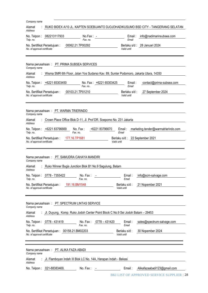| Company name                                                                                                                                |
|---------------------------------------------------------------------------------------------------------------------------------------------|
| RUKO BIDEX A/10 JL. KAPTEN SOEBIJANTO DJOJOHADIKUSUMO BSD CITY - TANGERANG SELATAN<br>Alamat<br>Address                                     |
| 082213117933<br>$No.Fax: -$<br>info@nadimarinsubsea.com<br>No. Telpon :<br>Email:<br>Telp. no.<br>Fax. no.<br>Email                         |
| 28 Januari 2024<br>00062.21.TP00292<br>Berlaku s/d:<br>No. Sertifikat Persetujuan:<br>No. of approval certificate<br>Valid until            |
| Nama perusahaan: PT. PRIMA SUBSEA SERVICES<br>Company name                                                                                  |
| Wisma SMR 6th Floor, Jalan Yos Sudarso Kav. 89, Sunter Podomoro, Jakarta Utara, 14350<br>Alamat<br><b>Address</b>                           |
| No. Fax: +6221 65303425<br>No. Telpon: +6221 65303450<br>Email:<br>contact@prima-subsea.com<br>Fax. no.<br>Telp. no.<br>Email               |
| 00103.21.TP01210<br>No. Sertifikat Persetujuan:<br>Berlaku s/d:<br>27 September 2024<br>No. of approval certificate<br>Valid until          |
| Nama perusahaan: PT. WARMA TRIERINDO<br>Company name                                                                                        |
| Crown Place Office Blok D-11, Jl. Prof DR. Soepomo No. 231 Jakarta<br>Alamat<br><b>Address</b>                                              |
| No. Fax:<br>+6221 83796670<br>No. Telpon: +6221 83796669<br>Email:<br>marketing.tender@warmatrierindo.com<br>Email<br>Telp. no.<br>Fax. no. |
| 177.16.TP1681<br>No. Sertifikat Persetujuan:<br>Berlaku s/d :<br>22 September 2021<br>No. of approval certificate<br>Valid until            |
|                                                                                                                                             |
| Nama perusahaan: PT. SAMUDRA CAHAYA MANDIRI<br>Company name                                                                                 |
| Ruko Winner Bugis Junction Blok B1 No.9 Sagulung, Batam<br>Alamat<br>Address                                                                |
| No. Telpon: 0778 - 7355422<br>No. Fax:<br>info@scm-salvage.com<br>Email:<br>Telp. no.<br>Fax. no.<br>Email                                  |
| 191.16.BM1548<br>21 Nopember 2021<br>No. Sertifikat Persetujuan:<br>Berlaku s/d :<br>No. of approval certificate<br>Valid until             |
| Nama perusahaan: PT. SPECTRUM LINTAS SERVICE<br>Company name                                                                                |
| Jl. Duyung, Komp. Ruko Jodoh Center Point Block C No.9 Sei Jodoh Batam - 29453<br>Alamat<br>Address                                         |
| No. Telpon: 0778 - 431419<br>$0778 - 431420$<br>No. Fax:<br>Email:<br>sales@spectrum-salvage.com<br>Fax. no.<br>Telp. no.<br>Email          |
| 30 Nopember 2024<br>No. Sertifikat Persetujuan: 00158.21.BM02203<br>Berlaku s/d :<br>No. of approval certificate<br>Valid until             |
|                                                                                                                                             |
| Nama perusahaan: PT. ALIKA FAZA ABADI                                                                                                       |
| Company name                                                                                                                                |
| : Jl. Flamboyan Indah III Blok LC No. 14A, Harapan Indah - Bekasi<br>Alamat<br>Address                                                      |
| No. Telpon: 021-88383469,<br>No. Fax:<br>Email:<br>Alikafazaabadi123@gmail.com<br>BKI LIST OF APPROVED SERVICE SUPPLIER   28                |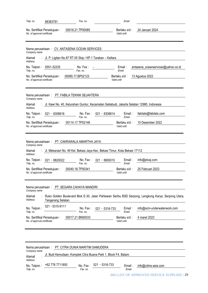| Telp. no.                                | 88383791                    | Fax. no.                                                                                 |                | Email                        |                                                                                                    |
|------------------------------------------|-----------------------------|------------------------------------------------------------------------------------------|----------------|------------------------------|----------------------------------------------------------------------------------------------------|
| No. of approval certificate              | No. Sertifikat Persetujuan: | 00018.21.TP00085                                                                         |                | Berlaku s/d:<br>Valid until  | 24 Januari 2024                                                                                    |
|                                          |                             |                                                                                          |                |                              |                                                                                                    |
| Company name                             |                             | Nama perusahaan: CV. ANTASENA OCEAN SERVICES                                             |                |                              |                                                                                                    |
| Alamat<br>Address                        |                             | : Jl. P. Ligitan No.87 RT.05 Skip / KP.1 Tarakan - Kaltara                               |                |                              |                                                                                                    |
| Telp. no.                                | No. Telpon: 0551-32235      | No. Fax:<br>Fax. no.                                                                     |                | $E$ mail:<br>Email           | antasena_oceanservices@yahoo.co.id                                                                 |
| No. of approval certificate              | No. Sertifikat Persetujuan: | 00085.17.BP02123                                                                         |                | Berlaku s/d:<br>Valid until  | 13 Agustus 2022                                                                                    |
|                                          |                             | Nama perusahaan: PT. FABILA TEKNIK SEJAHTERA                                             |                |                              |                                                                                                    |
| Company name<br>Alamat<br><b>Address</b> |                             | Jl. Kawi No. 40, Kelurahan Guntur, Kecamatan Setiabudi, Jakarta Selatan 12980, Indonesia |                |                              |                                                                                                    |
| Telp. no.                                | No. Telpon: 021 - 8308618   | No. Fax:<br>Fax. no.                                                                     | 021 - 8308814  | Email:<br>Email              | fabilats@fabilats.com                                                                              |
| No. of approval certificate              | No. Sertifikat Persetujuan: | 00114.17.TP02146                                                                         |                | Berlaku s/d :<br>Valid until | 10 Desember 2022                                                                                   |
|                                          |                             |                                                                                          |                |                              |                                                                                                    |
| Company name                             |                             | Nama perusahaan: PT. CAKRAWALA AMARTHA JAYA                                              |                |                              |                                                                                                    |
| Alamat<br><b>Address</b>                 |                             | Jl. Mekarsari No. 49 Kel. Bekasi Jaya Kec. Bekasi Timur, Kota Bekasi 17112               |                |                              |                                                                                                    |
| No. Telpon:<br>Telp. no.                 | 021 - 8820022               | No. Fax:<br>Fax. no.                                                                     | 021 - 8800010  | Email :<br>Email             | info@ptcaj.com                                                                                     |
| No. of approval certificate              | No. Sertifikat Persetujuan: | 00040.18.TP00341                                                                         |                | Berlaku s/d:<br>Valid until  | 25 Februari 2023                                                                                   |
|                                          |                             | Nama perusahaan: PT. SEGARA CAHAYA MANDIRI                                               |                |                              |                                                                                                    |
| Company name                             |                             |                                                                                          |                |                              |                                                                                                    |
| Alamat<br>Address                        | Tangerang Selatan.          |                                                                                          |                |                              | Ruko Golden Boulevard Blok E-30, Jalan Pahlawan Seribu BSD Serpong, Lengkong Karya, Serpong Utara, |
| No. Telpon:<br>Telp. no.                 | 021 - 5315-9111             | No. Fax:<br>Fax. no.                                                                     | 021 - 5316-733 | Email:<br>Email              | info@scm-underwaterwork.com                                                                        |
| No. of approval certificate              | No. Sertifikat Persetujuan: | 00017.21.BN00033                                                                         |                | Berlaku s/d:<br>Valid until  | 4 maret 2023                                                                                       |
|                                          |                             |                                                                                          |                |                              |                                                                                                    |
|                                          |                             |                                                                                          |                |                              |                                                                                                    |
| Company name                             |                             | Nama perusahaan: PT. CITRA DUNIA MARITIM SAMUDERA                                        |                |                              |                                                                                                    |
| Alamat<br>Address                        |                             | Jl. Budi Kemuliaan, Komplek Citra Buana Park 1, Block F4, Batam.                         |                |                              |                                                                                                    |
| No. Telpon:<br>Telp. no.                 | +62 778 7711850             | No. Fax:<br>Fax. no.                                                                     | 021 - 5316-733 | Email:<br>Email              | info@cdms-asia.com                                                                                 |

BKI LIST OF APPROVED SERVICE SUPPLIER | 29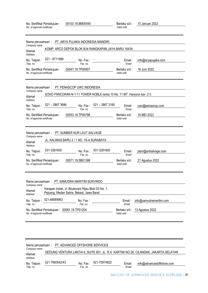| No. Sertifikat Persetujuan: | 00103.18.BM00040 |             | Berlaku s/d: 10 Januari 2022 |
|-----------------------------|------------------|-------------|------------------------------|
| No. of approval certificate |                  | Valid until |                              |

| Nama perusahaan : PT. ARYA PUJAKA INDONESIA MANDIRI<br>Company name<br>KOMP. ARCO DEPOK BLOK B34 RANGKAPAN JAYA BARU 16434<br>Alamat<br>Address<br>021 - 8711989<br>No. Telpon:<br>No. Fax :<br>Telp. no.<br>Fax. no.<br>00047.19.TP00907<br>No. Sertifikat Persetujuan:<br>No. of approval certificate                                        | Email :<br>Email<br>Berlaku s/d :<br>Valid until | info@aryapujaka.com<br>16 Juni 2022                     |
|------------------------------------------------------------------------------------------------------------------------------------------------------------------------------------------------------------------------------------------------------------------------------------------------------------------------------------------------|--------------------------------------------------|---------------------------------------------------------|
| Nama perusahaan : PT. PENASCOP UWC INDONESIA<br>Company name<br>SOHO PANCORAN N-1-11 TOWER NOBLE lantai 10 No. 11 MT. Haryono kav. 2-3<br>Alamat<br>Address<br>$021 - 28673686$<br>021 - 2867 3180<br>No. Telpon:<br>No. Fax:<br>Telp. no.<br>Fax. no.<br>00053.19.TP00798<br>No. Sertifikat Persetujuan :<br>No. of approval certificate      | Email:<br>Email<br>Berlaku s/d :<br>Valid until  | $uwc@p$ enascop.com<br>19 MEI 2022                      |
| Nama perusahaan: PT. SUMBER NUR LAUT SALVAGE<br>Company name<br>JL. KALIMAS BARU 2 / 1 NO. 16-A SURABAYA<br>Alamat<br>Address<br>031-3281600<br>031-3281600<br>No. Telpon:<br>$No.$ Fax :<br>Telp. no.<br>Fax. no.<br>No. Sertifikat Persetujuan :<br>00071.19.SB01388<br>No. of approval certificate                                          | Email :<br>Email<br>Berlaku s/d :<br>Valid until | ptsnl@snlsalvage.com<br>21 Agustus 2022                 |
| Nama perusahaan: PT. SAMUDRA MARITIM SURVINDO<br>Company name<br>Harapan Indah, Jl. Boulevard Hijau Blok D3 No. 1,<br>Alamat<br>Pejuang, Medan Satria, Bekasi, Jawa Barat<br><b>Address</b><br>021-88889963<br>No. Telpon:<br>No. Fax:<br>Telp. no.<br>Fax. no.<br>No. Sertifikat Persetujuan: 00081.19.TP01204<br>No. of approval certificate | Email:<br>Email<br>Valid until                   | info@samudramaritim.com<br>Berlaku s/d: 13 Agustus 2022 |

| Company name | Nama perusahaan : PT. ADVANCED OFFSHORE SERVICES |                          |                                                                                       |  |
|--------------|--------------------------------------------------|--------------------------|---------------------------------------------------------------------------------------|--|
| Alamat       |                                                  |                          | GEDUNG VENTURA LANTAI 6, SUITE 601, JL. R.A. KARTINI NO.26, CILANDAK, JAKARTA SELATAN |  |
| Address      |                                                  |                          |                                                                                       |  |
| No. Telpon:  | 021-7660042/43                                   | 021-75914922<br>No. Fax: | info@advancedoffshore.com<br>Email:                                                   |  |
| Telp. no.    |                                                  | Fax. no.                 | Email                                                                                 |  |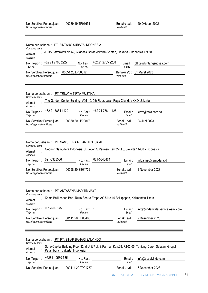| 00089.19.TP01651<br>No. Sertifikat Persetujuan:<br>No. of approval certificate                                                                                                                                                                                                                                                                 | 20 Oktober 2022<br>Berlaku s/d :<br>Valid until                                                     |
|------------------------------------------------------------------------------------------------------------------------------------------------------------------------------------------------------------------------------------------------------------------------------------------------------------------------------------------------|-----------------------------------------------------------------------------------------------------|
| Nama perusahaan: PT. BINTANG SUBSEA INDONESIA                                                                                                                                                                                                                                                                                                  |                                                                                                     |
| Company name<br>Jl. RS Fatmawati No.62, Cilandak Barat, Jakarta Selatan, Jakarta - Indonesia 12430<br>Alamat<br>Address                                                                                                                                                                                                                        |                                                                                                     |
| +62 21 2765 2238<br>+62 21 2765 2227<br>No. Telpon:<br>No. Fax:<br>Fax. no.<br>Telp. no.                                                                                                                                                                                                                                                       | office@bintangsubsea.com<br>Email:<br>Email                                                         |
| No. Sertifikat Persetujuan: 00051.20.LP00012<br>No. of approval certificate                                                                                                                                                                                                                                                                    | Berlaku s/d: 31 Maret 2023<br>Valid until                                                           |
|                                                                                                                                                                                                                                                                                                                                                |                                                                                                     |
| Nama perusahaan: PT. TRIJAYA TIRTA MUSTIKA<br>Company name<br>The Garden Center Building, #05-10, 5th Floor, Jalan Raya Cilandak KKO, Jakarta                                                                                                                                                                                                  |                                                                                                     |
| Alamat<br><b>Address</b>                                                                                                                                                                                                                                                                                                                       |                                                                                                     |
| +62 21 7884 1128<br>+62 21 7884 1129<br>No. Fax:<br>No. Telpon:<br>Telp. no.<br>Fax. no.                                                                                                                                                                                                                                                       | Email:<br>lerov@owa.com.sa<br>Email                                                                 |
| 00080.20.LP00017<br>No. Sertifikat Persetujuan:<br>No. of approval certificate                                                                                                                                                                                                                                                                 | 24 Juni 2023<br>Berlaku s/d:<br>Valid until                                                         |
| Nama perusahaan: PT. SAMUDERA MBIANTU SESAMI<br>Company name<br>Gedung Samudera Indonesia, Jl. Letjen S.Parman Kav.35 Lt.5, Jakarta 11480 - Indonesia<br>Alamat<br>Address<br>021-5328566<br>021-5346464<br>No. Fax:<br>No. Telpon:<br>Telp. no.<br>Fax. no.<br>00098.20.SB01732<br>No. Sertifikat Persetujuan:<br>No. of approval certificate | Email :<br>Info.sms@samudera.id<br>Email<br>2 November 2023<br>Berlaku s/d:<br>Valid until          |
| Nama perusahaan: PT. ANTASENA MARITIM JAYA<br>Company name                                                                                                                                                                                                                                                                                     |                                                                                                     |
| Komp Balikpapan Baru Ruko Sentra Eropa AC 5 No 10 Balikpapan, Kalimantan Timur<br>Alamat<br>Address                                                                                                                                                                                                                                            |                                                                                                     |
| 081250279872<br>No. Telpon:<br>No. Fax:<br>Telp. no.<br>Fax. no.                                                                                                                                                                                                                                                                               | info@underwaterservices-amj.com<br>Email :<br>Email                                                 |
| 00111.20.BP03460<br>No. Sertifikat Persetujuan:<br>No. of approval certificate                                                                                                                                                                                                                                                                 | Berlaku s/d:<br>2 Desember 2023<br>Valid until                                                      |
| Nama perusahaan: PT. PT. SINAR BAHARI SALVINDO<br>Company name                                                                                                                                                                                                                                                                                 |                                                                                                     |
| Alamat<br>Petamburan, Jakarta, Indonesia<br><b>Address</b>                                                                                                                                                                                                                                                                                     | Soho Capital Building Floor 32nd Unit 7 Jl. S.Parman Kav.28, RT03/05, Tanjung Duren Selatan, Grogol |
| +62811-9530-585<br>No. Telpon:<br>$No.$ Fax :<br>Telp. no.<br>Fax. no.                                                                                                                                                                                                                                                                         | Email:<br>info@sbsalvindo.com<br>Email                                                              |
| No. Sertifikat Persetujuan :<br>000114.20.TP01737                                                                                                                                                                                                                                                                                              | Berlaku s/d:<br>6 Desember 2023                                                                     |

BKI LIST OF APPROVED SERVICE SUPPLIER | 31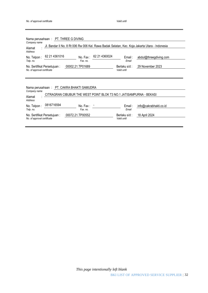| Nama perusahaan : PT. THREE G DIVING<br>Company name<br>Jl. Bandar II No. 8 Rt 006 Rw 006 Kel. Rawa Badak Selatan, Kec. Koja Jakarta Utara - Indonesia<br>Alamat<br>Address |                              |                        |
|-----------------------------------------------------------------------------------------------------------------------------------------------------------------------------|------------------------------|------------------------|
| 62 21 43 61016<br>62 21 4360024<br>No. Telpon:<br>$No.$ Fax :<br>Fax. no.<br>Telp. no.                                                                                      | $E$ mail:<br>Email           | abdul@threegdiving.com |
| 00002.21.TP01689<br>No. Sertifikat Persetujuan:<br>No. of approval certificate                                                                                              | Berlaku s/d:<br>Valid until  | 29 November 2023       |
| Nama perusahaan : PT. CAKRA BHAKTI SAMUDRA<br>Company name<br>CITRAGRAN CIBUBUR THE WEST POINT BLOK T3 NO.1 JATISAMPURNA - BEKASI<br>Alamat                                 |                              |                        |
| Address<br>0816716594<br>No. Telpon:<br>No. Fax:<br>Telp. no.<br>Fax. no.                                                                                                   | $E$ mail:<br>Email           | info@cakrabhakti.co.id |
| 00072.21.TP00552<br>No. Sertifikat Persetujuan:<br>No. of approval certificate                                                                                              | Berlaku s/d :<br>Valid until | 18 April 2024          |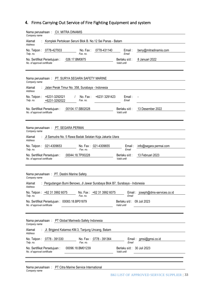# <span id="page-32-0"></span>**4.** Firms Carrying Out Service of Fire Fighting Equipment and system

| Nama perusahaan: CV. MITRA DINAMIS<br>Company name          |                                                                          |                      |                           |                                          |                                  |
|-------------------------------------------------------------|--------------------------------------------------------------------------|----------------------|---------------------------|------------------------------------------|----------------------------------|
| Alamat<br><b>Address</b>                                    | Komplek Pertokoan Seruni Blok B. No.12 Sei Panas - Batam                 |                      |                           |                                          |                                  |
| No. Telpon: 0778-427933<br>Telp. no.                        |                                                                          | No. Fax:<br>Fax. no. | 0778-431140               | Email:<br>Email                          | beny@mitradinamis.com            |
| No. Sertifikat Persetujuan:<br>No. of approval certificate  | 026.17.BM0875                                                            |                      |                           | Berlaku s/d:<br>Valid until              | 8 Januari 2022                   |
| Company name                                                | Nama perusahaan: PT. SURYA SEGARA SAFETY MARINE                          |                      |                           |                                          |                                  |
| Alamat<br>Address                                           | Jalan Perak Timur No. 358, Surabaya - Indonesia                          |                      |                           |                                          |                                  |
| No. Telpon:<br>Telp. no.                                    | +6231-3292021<br>+6231-3292022                                           | No. Fax:<br>Fax. no. | +6231 3291423             | Email:<br>Email                          |                                  |
| No. Sertifikat Persetujuan:<br>No. of approval certificate  | 00104.17.SB02028                                                         |                      |                           | Berlaku s/d :<br>Valid until             | 13 Desember 2022                 |
| Company name                                                | Nama perusahaan: PT. SEGARA PERMAI                                       |                      |                           |                                          |                                  |
| Alamat<br>Address                                           | JI Samudra No. 5 Rawa Badak Selatan Koja Jakarta Utara                   |                      |                           |                                          |                                  |
| No. Telpon: 021-4309653<br>Telp. no.                        |                                                                          | Fax. no.             | No. Fax: 021-4309655      | Email:<br>Email                          | info@segara permai.com           |
| No. Sertifikat Persetujuan:<br>No. of approval certificate  | 00044.18.TP00228                                                         |                      |                           | Berlaku s/d :<br>Valid until             | 13 Februari 2023                 |
| Company name                                                | Nama perusahaan: PT. Destini Marine Safety                               |                      |                           |                                          |                                  |
| Alamat<br>Address                                           | Pergudangan Bumi Benowo, JI Jawar Surabaya Blok B7, Surabaya - Indonesia |                      |                           |                                          |                                  |
| Telp. no.                                                   | No. Telpon: +62 31 3992 6075                                             | Fax. no.             | No. Fax: +62 31 3992 6075 | Email                                    | Email: joseph@dms-services.co.id |
| No. of approval certificate                                 | No. Sertifikat Persetujuan: 00083.18.BP01879                             |                      |                           | Berlaku s/d: 09 Juli 2023<br>Valid until |                                  |
| Company name                                                | Nama perusahaan : PT Global Marinedo Safety Indonesia                    |                      |                           |                                          |                                  |
| Alamat<br><b>Address</b>                                    | : Jl. Brigjend Katamso KM.3, Tanjung Uncang, Batam                       |                      |                           |                                          |                                  |
| Telp. no.                                                   | No. Telpon: 0778 - 391330                                                | Fax. no.             | No. Fax: 0778 - 391364    | Email                                    | Email: gmsi@gmsi.co.id           |
| No. Sertifikat Persetujuan :<br>No. of approval certificate |                                                                          | 00096.18.BM01239     |                           | Berlaku s/d: 30 Juli 2023<br>Valid until |                                  |
|                                                             |                                                                          |                      |                           |                                          |                                  |

Nama perusahaan : *Company name* PT Citra Marine Service International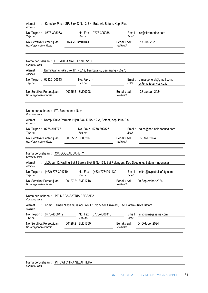| Alamat<br><b>Address</b>                                    |                                       | Komplek Pasar SP, Blok D No. 3 & 4, Batu Aji, Batam, Kep. Riau                 |                           |                             |                                                                                                  |
|-------------------------------------------------------------|---------------------------------------|--------------------------------------------------------------------------------|---------------------------|-----------------------------|--------------------------------------------------------------------------------------------------|
| Telp. no.                                                   | No. Telpon: 0778 395063               | Fax. no.                                                                       | No. Fax: 0778 305058      | Email                       | Email: cs@citramarine.com                                                                        |
| No. Sertifikat Persetujuan:<br>No. of approval certificate  |                                       | 0074.20.BM01041                                                                |                           | Berlaku s/d:<br>Valid until | 17 Juni 2023                                                                                     |
| Company name                                                |                                       | Nama perusahaan: PT. MULIA SAFETY SERVICE                                      |                           |                             |                                                                                                  |
| Alamat<br><b>Address</b>                                    |                                       | : Bumi Wanamukti Blok H1 No.19, Tembalang, Semarang - 50276                    |                           |                             |                                                                                                  |
| Telp. no.                                                   | No. Telpon: 02925150543               | No. Fax: $-$<br>Fax. no.                                                       |                           | Email :<br>Email            | ptmssgeneral@gmail.com,<br>cs@muliaservice.co.id                                                 |
| No. Sertifikat Persetujuan:<br>No. of approval certificate  |                                       | 00025.21.SM00008                                                               |                           | Berlaku s/d:<br>Valid until | 28 Januari 2024                                                                                  |
| Company name<br>Alamat<br><b>Address</b>                    | Nama perusahaan: PT. Baruna Indo Nusa | : Komp. Ruko Permata Hijau Blok D No. 12.A, Batam, Kepulaun Riau               |                           |                             |                                                                                                  |
| Telp. no.                                                   | No. Telpon: 0778 391777               | Fax. no.                                                                       | No. Fax: 0778 392827      | Email                       | Email: sales@barunaindonusa.com                                                                  |
| No. Sertifikat Persetujuan:<br>No. of approval certificate  |                                       | 00065.21.PB00299                                                               |                           | Berlaku s/d:<br>Valid until | 30 Mei 2024                                                                                      |
| Company name                                                |                                       | Nama perusahaan: CV. GLOBAL SAFETY                                             |                           |                             |                                                                                                  |
| Alamat<br>Address                                           |                                       |                                                                                |                           |                             | : Jl.Dapur 12 Kavling Bukit Seroja Blok E No.178, Sei Pelunggut, Kec Sagulung, Batam - Indonesia |
| Telp. no.                                                   | No. Telpon: (+62) 778 394749          | Fax. no.                                                                       | No. Fax: (+62) 7784091430 | Email                       | Email: mitra@cvglobalsafety.com                                                                  |
| No. Sertifikat Persetujuan:<br>No. of approval certificate  |                                       | 00127.21.BM01718                                                               |                           | Berlaku s/d:<br>Valid until | 29 September 2024                                                                                |
| Company name                                                |                                       | Nama perusahaan: PT. MEGA SATRIA PERSADA                                       |                           |                             |                                                                                                  |
| Alamat<br>Address                                           |                                       | Komp. Taman Niaga Sukajadi Blok H1 No.5 Kel. Sukajadi, Kec. Batam - Kota Batam |                           |                             |                                                                                                  |
| No. Telpon:<br>Telp. no.                                    | 0778-4806419                          | Fax. no.                                                                       | No. Fax: 0778-4806418     | Email                       | Email: msp@megasatria.com                                                                        |
| No. Sertifikat Persetujuan :<br>No. of approval certificate |                                       | 00128.21.BM01760                                                               |                           | Berlaku s/d:<br>Valid until | 04 Oktober 2024                                                                                  |

Nama perusahaan : *Company name* PT.DWI CITRA SEJAHTERA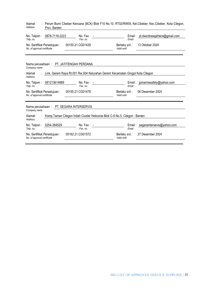| : Perum Bumi Cibeber Kencana (BCK) Blok F10 No.10, RT02/RW09, Kel.Cibeber, Kec.Cibeber, Kota Cilegon,<br>Alamat<br>Address<br>Prov. Banten |                              |                                                                                                                                                                 |  |  |  |
|--------------------------------------------------------------------------------------------------------------------------------------------|------------------------------|-----------------------------------------------------------------------------------------------------------------------------------------------------------------|--|--|--|
| $No. Fax: -$<br>Fax. no.                                                                                                                   | Email                        | Email: pt.dwicitrasejahtera@gmail.com                                                                                                                           |  |  |  |
| 00150.21.CG01439                                                                                                                           | Berlaku s/d:<br>Valid until  | 13 Oktober 2024                                                                                                                                                 |  |  |  |
| Nama perusahaan: PT. JATITENGAH PERDANA                                                                                                    |                              |                                                                                                                                                                 |  |  |  |
|                                                                                                                                            |                              |                                                                                                                                                                 |  |  |  |
| $No. Fax: -$<br>Fax. no.                                                                                                                   | Email                        | Email: jpmarinesafety@yahoo.com                                                                                                                                 |  |  |  |
| 00155.21.CG01478                                                                                                                           | Berlaku s/d:<br>Valid until  | 06 Desember 2024                                                                                                                                                |  |  |  |
| Nama perusahaan: PT. SEGARA INTERSERVIS                                                                                                    |                              |                                                                                                                                                                 |  |  |  |
|                                                                                                                                            |                              |                                                                                                                                                                 |  |  |  |
| $No. Fax: -$<br>Fax. no.                                                                                                                   | Email :<br>Email             | segaraintersevis@yahoo.com                                                                                                                                      |  |  |  |
| 00162.21.CG01572                                                                                                                           | Berlaku s/d :<br>Valid until | 27 Desember 2024                                                                                                                                                |  |  |  |
|                                                                                                                                            |                              | : Link. Gerem Raya Rt.001 Rw.004 Kelurahan Gerem Kecamatan Grogol Kota Cilegon<br>: Komp. Taman Cilegon Indah Cluster Heliconia Blok C-6 No.5, Cilegon - Banten |  |  |  |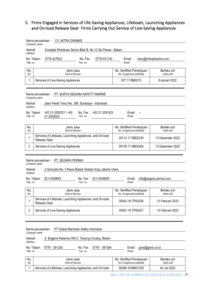## <span id="page-36-0"></span>5. Firms Engaged in Services of Life-Saving Appliances, Lifeboats, Launching Appliances and On-load Release Gear Firms Carrying Out Service of Live-Saving Appliances

|                          | Nama perusahaan: CV. MITRA DINAMIS<br>Company name                                                                 |                                                           |                            |
|--------------------------|--------------------------------------------------------------------------------------------------------------------|-----------------------------------------------------------|----------------------------|
| Alamat<br><b>Address</b> | Komplek Pertokoan Seruni Blok B. No.12 Sei Panas - Batam                                                           |                                                           |                            |
| Telp. no.                | 0778-427933<br>No. Fax:<br>0778-431140<br>No. Telpon:<br>Fax. no.                                                  | Email:<br>Fmail                                           | beny@mitradinamis.com      |
| No.<br>No.               | Jenis Jasa<br>Kind of Service                                                                                      | No. Sertifikat Persetujuan<br>No. of approval certificate | Berlaku s/d<br>Valid until |
| 1                        | Services of Live-Saving Appliances                                                                                 | 027.17.BM0215                                             | 8 januari 2022             |
| Alamat                   | Nama perusahaan: PT. SURYA SEGARA SAFETY MARINE<br>Company name<br>Jalan Perak Timur No. 358, Surabaya - Indonesia |                                                           |                            |
| Address<br>Telp. no.     | No. Telpon:<br>+62 31-3292021 / +62<br>No. Fax:<br>+62 31 3291423<br>Fax. no.<br>31-3292022                        | $Email: -$<br>Email                                       |                            |
|                          |                                                                                                                    |                                                           |                            |
| No.<br>No.               | Jenis Jasa<br><b>Kind of Service</b>                                                                               | No. Sertifikat Persetujuan<br>No. of approval certificate | Berlaku s/d<br>Valid until |
| 1                        | Services of Lifeboats, Launching Appliances, and On-load<br>Release Gear                                           | 00113.17.SB02239                                          | 13 Desember 2022           |
| 2                        | Services of Live-Saving Appliances                                                                                 | 00105.17.SB02029                                          | 13 Desember 2022           |
|                          | Nama perusahaan: PT. SEGARA PERMAI<br>Company name                                                                 |                                                           |                            |
| Alamat<br>Address        | : Jl Samudra No. 5 Rawa Badak Selatan Koja Jakarta Utara                                                           |                                                           |                            |
| Telp. no.                | No. Telpon: 021-4309653<br>No. Fax: 021-4309655<br>Fax. no.                                                        | Email:<br>Email                                           | info@segara permai.com     |
| No.<br>No.               | Jenis Jasa<br>Kind of Service                                                                                      | No. Sertifikat Persetujuan<br>No. of approval certificate | Berlaku s/d<br>Valid until |
| 1                        | Services of Lifeboats, Launching Appliances, and On-load<br>Release Gear                                           | 00042.18.TP00229                                          | 13 Februari 2023           |
| $\overline{2}$           | Services of Live-Saving Appliances                                                                                 | 00041.18.TP00227                                          | 13 Februari 2023           |
|                          |                                                                                                                    |                                                           |                            |
|                          | Nama perusahaan: PT Global Marinedo Safety Indonesia<br>Company name                                               |                                                           |                            |

| Alamat<br>Address | : Jl. Brigjend Katamso KM.3, Tanjung Uncang, Batam |          |                        |       |                        |
|-------------------|----------------------------------------------------|----------|------------------------|-------|------------------------|
| Telp. no.         | No. Telpon: 0778 - 391330                          | Fax. no. | No. Fax: 0778 - 391364 | Email | Email: gmsi@gmsi.co.id |
|                   |                                                    |          |                        |       |                        |

| No. | Jenis Jasa                                               | No. Sertifikat Persetujuan  | Berlaku s/d  |
|-----|----------------------------------------------------------|-----------------------------|--------------|
| No. | Kind of Service                                          | No. of approval certificate | Valid until  |
|     | Services of Lifeboats, Launching Appliances, and On-load | 00099.18.BM01239            | 30 Juli 2023 |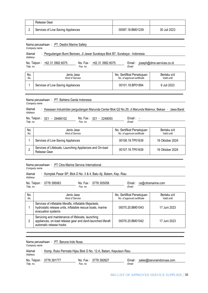| Release Gear                       |                  |              |
|------------------------------------|------------------|--------------|
| Services of Live-Saving Appliances | 00097.18.BM01239 | 30 Juli 2023 |

|                   | Nama perusahaan: PT. Destini Marine Safety                                 |                                                           |                            |
|-------------------|----------------------------------------------------------------------------|-----------------------------------------------------------|----------------------------|
|                   | Company name                                                               |                                                           |                            |
| Alamat<br>Address | : Pergudangan Bumi Benowo, JI Jawar Surabaya Blok B7, Surabaya - Indonesia |                                                           |                            |
| Telp. no.         | No. Telpon: +62 31 3992 6075<br>No. Fax: +62 31 3992 6075<br>Fax. no.      | Email: joseph@dms-services.co.id<br>Email                 |                            |
| No.<br>No.        | Jenis Jasa<br>Kind of Service                                              | No. Sertifikat Persetujuan<br>No. of approval certificate | Berlaku s/d<br>Valid until |
|                   | Services of Live-Saving Appliances                                         | 00101.18.BP01894                                          | 9 Juli 2023                |

Nama perusahaan : PT. Bahtera Garda Indonesia *Company name*

### Alamat *Address* Kawasan Industridan pergudangan Marunda Center Blok Q2 No.29, Jl.Marunda Makmur, Bekasi ‐ Jawa Barat

Email: -

No. Telpon : 021 - 29466102 No. Fax : *Telp. no. Fax. no.* 021‐ 2248093 Email : *Email*

| No.<br>No. | Jenis Jasa<br>Kind of Service                                           | No. Sertifikat Persetujuan<br>No. of approval certificate | Berlaku s/d<br>Valid until |
|------------|-------------------------------------------------------------------------|-----------------------------------------------------------|----------------------------|
|            | Services of Live-Saving Appliances                                      | 00106.19.TP01639                                          | 16 Oktober 2024            |
|            | Services of Lifeboats, Launching Appliances and On-load<br>Release Gear | 00107.19.TP01639                                          | 16 Oktober 2024            |

## Nama perusahaan : PT Citra Marine Service International *Company name*

## Alamat : *Address* : Komplek Pasar SP, Blok D No. 3 & 4, Batu Aji, Batam, Kep. Riau

| No. Telpon: 0778 395063 | No. Fax: 0778 305058 | $E$ mail:<br>cs@citramarine.com |
|-------------------------|----------------------|---------------------------------|
| Telp. no.               | Fax. no.             | Email                           |
|                         |                      |                                 |

| No.<br>No. | Jenis Jasa<br>Kind of Service                                                                                                                 | No. Sertifikat Persetujuan<br>No. of approval certificate | Berlaku s/d<br>Valid until |
|------------|-----------------------------------------------------------------------------------------------------------------------------------------------|-----------------------------------------------------------|----------------------------|
|            | Services of inflatable liferafts, inflatable lifejackets,<br>hydrostatic release units, inflatable rescue boats, marine<br>evacuation systems | 00075.20 BM01043                                          | 17 Juni 2023               |
|            | Servicing and maintenance of lifeboats, launching<br>appliances, on-load release gear and davit-launched liferaft<br>automatic release hooks  | 00076.20.BM01042                                          | 17 Juni 2023               |

Nama perusahaan : PT. Baruna Indo Nusa *Company name*

| Alamat<br>Address |                         | Komp. Ruko Permata Hijau Blok D No. 12.A, Batam, Kepulaun Riau |       |                                 |
|-------------------|-------------------------|----------------------------------------------------------------|-------|---------------------------------|
| Telp. no.         | No. Telpon: 0778 391777 | No. Fax: 0778 392827<br>Fax. no.                               | Email | Email: sales@barunaindonusa.com |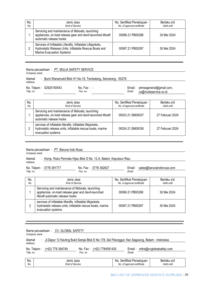| No.<br>No. | Jenis Jasa<br>Kind of Service                                                                                                                    | No. Sertifikat Persetujuan<br>No. of approval certificate | Berlaku s/d<br>Valid until |
|------------|--------------------------------------------------------------------------------------------------------------------------------------------------|-----------------------------------------------------------|----------------------------|
|            | Servicing and maintenance of lifeboats, launching<br>appliances, on-load release gear and davit-launched liferaft<br>automatic release hooks     | 00066.21 PB00298                                          | 30 Mei 2024                |
|            | Services of Inflatable Liferafts, Inflatable Lifejackets,<br>Hydrostatic Release Units, Inflatable Rescue Boats and<br>Marine Evacuation Systems | 00067.21.PB00297                                          | 30 Mei 2024                |

Nama perusahaan : PT. MULIA SAFETY SERVICE

*Company name*

| Alamat    |                         | Bumi Wanamukti Blok H1 No.19, Tembalang, Semarang - 50276 |       |                                                         |
|-----------|-------------------------|-----------------------------------------------------------|-------|---------------------------------------------------------|
| Address   |                         |                                                           |       |                                                         |
| Telp. no. | No. Telpon: 02925150543 | No. Fax $: -$<br>Fax. no.                                 | Email | Email: ptmssgeneral@gmail.com,<br>cs@muliaservice.co.id |

| No.<br>No. | Jenis Jasa<br>Kind of Service                                                                                                                 | No. Sertifikat Persetujuan<br>No. of approval certificate | Berlaku s/d<br>Valid until |
|------------|-----------------------------------------------------------------------------------------------------------------------------------------------|-----------------------------------------------------------|----------------------------|
|            | Servicing and maintenance of lifeboats, launching<br>appliances, on-load release gear and davit-launched liferaft<br>automatic release hooks  | 00023.21.SM00037                                          | 27 Februari 2024           |
|            | services of inflatable liferafts, inflatable lifejackets,<br>hydrostatic release units, inflatable rescue boats, marine<br>evacuation systems | 00024.21.SM00036                                          | 27 Februari 2024           |

#### Nama perusahaan : PT. Baruna Indo Nusa

*Company name* Alamat *Address* Komp. Ruko Permata Hijau Blok D No. 12.A, Batam, Kepulaun Riau

| Telp. no.  | No. Telpon: 0778 391777                                                                                  | No. Fax: 0778 392827<br>Fax. no. | Email                                                     | Email: sales@barunaindonusa.com |
|------------|----------------------------------------------------------------------------------------------------------|----------------------------------|-----------------------------------------------------------|---------------------------------|
| No.<br>No. |                                                                                                          | Jenis Jasa<br>Kind of Service    | No. Sertifikat Persetujuan<br>No. of approval certificate | Berlaku s/d<br>Valid until      |
|            | Servicing and maintenance of lifeboats, launching<br>appliances, on-load release gear and davit-launched |                                  | 00066.21.PB00298                                          | 30 Mei 2024                     |

|  | liferaft automatic release hooks                                                                                                              |                  |             |
|--|-----------------------------------------------------------------------------------------------------------------------------------------------|------------------|-------------|
|  | services of inflatable liferafts, inflatable lifejackets,<br>hydrostatic release units, inflatable rescue boats, marine<br>evacuation systems | 00067.21.PB00297 | 30 Mei 2024 |

|                                                                                              | Nama perusahaan: CV. GLOBAL SAFETY<br>Company name                                                         |                                      |          |  |                                                           |                            |
|----------------------------------------------------------------------------------------------|------------------------------------------------------------------------------------------------------------|--------------------------------------|----------|--|-----------------------------------------------------------|----------------------------|
| Address                                                                                      | : Jl.Dapur 12 Kavling Bukit Seroja Blok E No.178, Sei Pelunggut, Kec Sagulung, Batam - Indonesia<br>Alamat |                                      |          |  |                                                           |                            |
| No. Telpon: (+62) 778 394749<br>No. Fax: (+62) 7784091430<br>Email: mitra@cvglobalsafety.com |                                                                                                            |                                      |          |  |                                                           |                            |
| Telp. no.                                                                                    |                                                                                                            |                                      | Fax. no. |  | Email                                                     |                            |
| No.<br>No.                                                                                   |                                                                                                            | Jenis Jasa<br><b>Kind of Service</b> |          |  | No. Sertifikat Persetujuan<br>No. of approval certificate | Berlaku s/d<br>Valid until |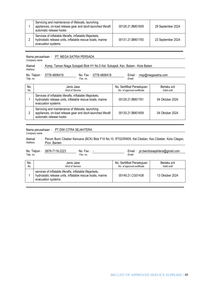| Servicing and maintenance of lifeboats, launching<br>appliances, on-load release gear and davit-launched liferaft<br>automatic release hooks  | 00126.21.BM01659 | 29 September 2024 |
|-----------------------------------------------------------------------------------------------------------------------------------------------|------------------|-------------------|
| Services of inflatable liferafts, inflatable lifejackets,<br>hydrostatic release units, inflatable rescue boats, marine<br>evacuation systems | 00131.21.BM01700 | 23 September 2024 |

|              | Nama perusahaan: PT. MEGA SATRIA PERSADA |
|--------------|------------------------------------------|
| Company name |                                          |

Alamat : Komp. Taman Niaga Sukajadi Blok H1 No.5 Kel. Sukajadi, Kec. Batam - Kota Batam *Address*

| Telp. no.  | 0778-4806419<br>No. Telpon :                                                                                                                  | No. Fax: 0778-4806418<br>Fax. no. | Email: msp@megasatria.com<br>Email                        |                            |
|------------|-----------------------------------------------------------------------------------------------------------------------------------------------|-----------------------------------|-----------------------------------------------------------|----------------------------|
| No.<br>No. | Jenis Jasa<br>Kind of Service                                                                                                                 |                                   | No. Sertifikat Persetujuan<br>No. of approval certificate | Berlaku s/d<br>Valid until |
|            | Services of inflatable liferafts, inflatable lifejackets,<br>hydrostatic release units, inflatable rescue boats, marine<br>evacuation systems |                                   | 00129.21.BM01761                                          | 04 Oktober 2024            |
|            | Servicing and maintenance of lifeboats, launching<br>appliances, on-load release gear and davit-launched liferaft<br>automatic release hooks  |                                   | 00130.21.BM01659                                          | 04 Oktober 2024            |

|                                                                                                                        | Nama perusahaan: PT.DWI CITRA SEJAHTERA<br>Company name                                                                                       |  |                               |  |                                                           |  |                            |
|------------------------------------------------------------------------------------------------------------------------|-----------------------------------------------------------------------------------------------------------------------------------------------|--|-------------------------------|--|-----------------------------------------------------------|--|----------------------------|
| Address                                                                                                                | : Perum Bumi Cibeber Kencana (BCK) Blok F10 No.10, RT02/RW09, Kel.Cibeber, Kec.Cibeber, Kota Cilegon,<br>Alamat<br>Prov. Banten               |  |                               |  |                                                           |  |                            |
| No. Telpon: 0878-7118-2223<br>Email: pt.dwicitrasejahtera@gmail.com<br>No. Fax $: -$<br>Telp. no.<br>Email<br>Fax. no. |                                                                                                                                               |  |                               |  |                                                           |  |                            |
| No.<br>No.                                                                                                             |                                                                                                                                               |  | Jenis Jasa<br>Kind of Service |  | No. Sertifikat Persetujuan<br>No. of approval certificate |  | Berlaku s/d<br>Valid until |
|                                                                                                                        | services of inflatable liferafts, inflatable lifejackets,<br>hydrostatic release units, inflatable rescue boats, marine<br>evacuation systems |  | 00149.21.CG01438              |  | 13 Oktober 2024                                           |  |                            |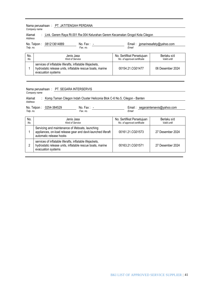|            | Nama perusahaan: PT. JATITENGAH PERDANA<br>Company name                                                                 |                          |                                                           |                                 |  |  |
|------------|-------------------------------------------------------------------------------------------------------------------------|--------------------------|-----------------------------------------------------------|---------------------------------|--|--|
| Address    | : Link. Gerem Raya Rt.001 Rw.004 Kelurahan Gerem Kecamatan Grogol Kota Cilegon<br>Alamat                                |                          |                                                           |                                 |  |  |
| Telp. no.  | 081213614889<br>No. Telpon:                                                                                             | $No. Fax: -$<br>Fax. no. | Email                                                     | Email: jpmarinesafety@yahoo.com |  |  |
| No.<br>No. | Jenis Jasa<br><b>Kind of Service</b>                                                                                    |                          | No. Sertifikat Persetujuan<br>No. of approval certificate | Berlaku s/d<br>Valid until      |  |  |
|            | services of inflatable liferafts, inflatable lifejackets,<br>hydrostatic release units, inflatable rescue boats, marine |                          | 00154.21.CG01477                                          | 06 Desember 2024                |  |  |

Nama perusahaan : PT. SEGARA INTERSERVIS *Company name*

evacuation systems

evacuation systems

Alamat *Address* Komp.Taman Cilegon Indah Cluster Heliconia Blok C-6 No.5, Cilegon - Banten No. Telpon : 0254-384529 No. Fax : *Telp. no.* **No. Fax:** <u>-</u><br>*Fax. no.* - Email : segaraintersevis@yahoo.com *Email* No. *No.* Jenis Jasa *Kind of Service* No. Sertifikat Persetujuan *No. of approval certificate* Berlaku s/d *Valid until* 1 Servicing and maintenance of lifeboats, launching appliances, on-load release gear and davit-launched liferaft automatic release hooks 00161.21.CG01573 27 Desember 2024 2 services of inflatable liferafts, inflatable lifejackets, hydrostatic release units, inflatable rescue boats, marine 00163.21.CG01571 27 Desember 2024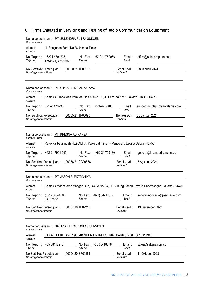# <span id="page-42-0"></span>6. Firms Engaged in Servicing and Testing of Radio Communication Equipment

| Nama perusahaan: PT. SULENDRA PUTRA SUKSES<br>Company name                                                                      |                              |                                 |  |  |  |  |
|---------------------------------------------------------------------------------------------------------------------------------|------------------------------|---------------------------------|--|--|--|--|
| Jl. Bangunan Barat No.26 Jakarta Timur<br>Alamat<br><b>Address</b>                                                              |                              |                                 |  |  |  |  |
| +6221-4894236,<br>No. Fax:<br>62-21-4759066<br>No. Telpon:<br>Telp. no.<br>Fax. no.<br>4754921, 47860759                        | Email:<br>Email              | office@sulendraputra.net        |  |  |  |  |
| 00020.21.TP00113<br>No. Sertifikat Persetujuan:<br>No. of approval certificate                                                  | Berlaku s/d :<br>Valid until | 28 Januari 2024                 |  |  |  |  |
| Nama perusahaan: PT. CIPTA PRIMA ARYATAMA<br>Company name                                                                       |                              |                                 |  |  |  |  |
| Komplek Graha Mas Pemuda Blok AD No.16, Jl. Pemuda Kav.1 Jakarta Timur - 13220<br>Alamat<br><b>Address</b>                      |                              |                                 |  |  |  |  |
| 021-22473738<br>021-4712488<br>No. Telpon:<br>No. Fax:<br>Telp. no.<br>Fax. no.                                                 | Email:<br>Email              | support@ciptaprimaaryatama.com  |  |  |  |  |
| 00005.21.TP00090<br>No. Sertifikat Persetujuan:<br>No. of approval certificate                                                  | Berlaku s/d:<br>Valid until  | 25 Januari 2024                 |  |  |  |  |
|                                                                                                                                 |                              |                                 |  |  |  |  |
| Nama perusahaan: PT. KRESNA ADIKARSA<br>Company name                                                                            |                              |                                 |  |  |  |  |
| Ruko Kalibata Indah No.9 AM. Jl. Rawa Jati Timur - Pancoran, Jakarta Selatan 12750<br>Alamat<br><b>Address</b>                  |                              |                                 |  |  |  |  |
| No. Telpon: +62 21 7991 909<br>+62 21-799130<br>No. Fax:<br>Telp. no.<br>Fax. no.                                               | Email:<br>Email              | general@kresnaadikarsa.co.id    |  |  |  |  |
| 00076.21.CG00866<br>No. Sertifikat Persetujuan:<br>No. of approval certificate                                                  | Berlaku s/d :<br>Valid until | 5 Agustus 2024                  |  |  |  |  |
| Nama perusahaan: PT. JASON ELEKTRONIKA<br>Company name                                                                          |                              |                                 |  |  |  |  |
| Komplek Marinatama Mangga Dua, Blok A No. 34, Jl. Gunung Sahari Raya 2, Pademangan, Jakarta - 14420<br>Alamat<br><b>Address</b> |                              |                                 |  |  |  |  |
| $(021) 6404400$ ,<br>(021) 64717612<br>No. Telpon:<br>No. Fax:<br>Telp. no.<br>Fax. no.<br>64717582                             | Email :<br>Email             | service-indonesia@jasonasia.com |  |  |  |  |
| 00037.18.TP02218<br>No. Sertifikat Persetujuan:<br>No. of approval certificate                                                  | Berlaku s/d:<br>Valid until  | 19 Desember 2022                |  |  |  |  |
|                                                                                                                                 |                              |                                 |  |  |  |  |
| SAKANA ELECTRONIC & SERVICES<br>Nama perusahaan:<br>Company name                                                                |                              |                                 |  |  |  |  |
| 61 KAKI BUKIT AVE 1 #05-04 SHUN LIN INDUSTRIAL PARK SINGAPORE 417943<br>Alamat<br>Address                                       |                              |                                 |  |  |  |  |
| +65 68418878<br>+65 68417212<br>No. Telpon :<br>No. Fax $\colon$<br>Telp. no.<br>Fax. no.                                       | Email:<br>Email              | sales@sakana.com.sg             |  |  |  |  |
| 00094.20.SP00481<br>No.Sertifikat Persetujuan:<br>No. of approval certificate                                                   | Berlaku s/d :<br>Valid until | 11 Oktober 2023                 |  |  |  |  |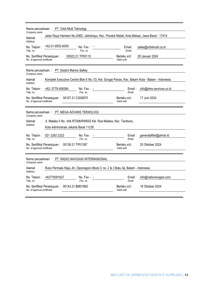| Nama perusahaan: PT. Orbit Multi Teknologi<br>Company name                                                                     |                              |                         |  |  |  |  |
|--------------------------------------------------------------------------------------------------------------------------------|------------------------------|-------------------------|--|--|--|--|
| Jalan Raya Hankam No.206D, Jatirahayu, Kec. Pondok Melati, Kota Bekasi, Jawa Barat - 17414<br>Alamat<br>Address                |                              |                         |  |  |  |  |
| +62-21-8552-6000<br>No. Telpon:<br>No. Fax :<br>Telp. no.<br>Fax. no.                                                          | Email:<br>Email              | sales@orbitmulti.co.id  |  |  |  |  |
| 00022.21.TP00110<br>No. Sertifikat Persetujuan:<br>No. of approval certificate                                                 | Berlaku s/d :<br>Valid until | 28 Januari 2024         |  |  |  |  |
| Nama perusahaan: PT. Destini Marine Safety<br>Company name                                                                     |                              |                         |  |  |  |  |
| Komplek Executive Centre Blok 6 No. 03, Kel. Sungai Panas, Kec. Batam Kota - Batam - Indonesia<br>Alamat<br>Address            |                              |                         |  |  |  |  |
| No. Telpon: +62-0778-456364<br>No. Fax $: -$<br>Telp. no.<br>Fax. no.                                                          | Email:<br>Email              | info@dms-services.co.id |  |  |  |  |
| No. Sertifikat Persetujuan: 00107.21.CG00670<br>No. of approval certificate                                                    | Berlaku s/d:<br>Valid until  | 17 Juni 2024            |  |  |  |  |
| Nama perusahaan: PT. MEGA ADVANS TEKNOLOGI<br>Company name                                                                     |                              |                         |  |  |  |  |
| Jl. Malaka II No. 34A RT006/RW002 Kel. Roa Malaka, Kec. Tambora,<br>Alamat<br>Address<br>Kota Administrasi Jakarta Barat 11230 |                              |                         |  |  |  |  |
| No. Telpon: 021 2262 2222<br>No. Fax: $-$<br>Telp. no.<br>Fax. no.                                                             | Email :<br>Email             | generalaffair@ptmat.id  |  |  |  |  |
| No. Sertifikat Persetujuan: 00138.21.TP01397<br>No. of approval certificate                                                    | Berlaku s/d:<br>Valid until  | 25 Oktober 2024         |  |  |  |  |
| Nama perusahaan: PT. RADIO NAVIGASI INTERNASIONAL<br>Company name                                                              |                              |                         |  |  |  |  |
| Ruko Permata Hijau Jln. Diponegoro Block C no. 2 & 3 Batu Aji, Batam - Indonesia<br>Alamat<br>Address                          |                              |                         |  |  |  |  |
| No. Telpon: +62778391627<br>No. Fax: $-$<br>Telp. no.<br>Fax no                                                                | Email:<br>Fmail              | info@radionavigasi.com  |  |  |  |  |
| No. Sertifikat Persetujuan: 00143.21.BM01862<br>No. of approval certificate                                                    | Berlaku s/d:<br>Valid until  | 18 Oktober 2024         |  |  |  |  |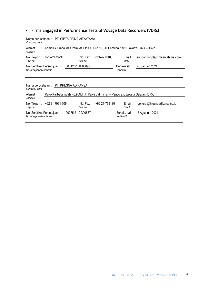# <span id="page-45-0"></span>7. Firms Engaged in Performance Tests of Voyage Data Recorders (VDRs)

| Nama perusahaan: PT. CIPTA PRIMA ARYATAMA                                                                 |                                                 |  |  |  |  |  |  |
|-----------------------------------------------------------------------------------------------------------|-------------------------------------------------|--|--|--|--|--|--|
| Company name                                                                                              |                                                 |  |  |  |  |  |  |
| Komplek Graha Mas Pemuda Blok AD No.16, Jl. Pemuda Kav.1 Jakarta Timur – 13220<br>Alamat                  |                                                 |  |  |  |  |  |  |
| Address                                                                                                   |                                                 |  |  |  |  |  |  |
| 021-22473738<br>No. Fax:<br>021-4712488<br>No. Telpon :                                                   | Email:<br>support@ciptaprimaaryatama.com        |  |  |  |  |  |  |
| Telp. no.<br>Fax. no.                                                                                     | Email                                           |  |  |  |  |  |  |
| 00012.21.TP00092<br>No. Sertifikat Persetujuan:                                                           | Berlaku s/d:<br>25 Januari 2024                 |  |  |  |  |  |  |
| No. of approval certificate                                                                               | Valid until                                     |  |  |  |  |  |  |
|                                                                                                           |                                                 |  |  |  |  |  |  |
|                                                                                                           |                                                 |  |  |  |  |  |  |
|                                                                                                           |                                                 |  |  |  |  |  |  |
|                                                                                                           |                                                 |  |  |  |  |  |  |
| Nama perusahaan: PT. KRESNA ADIKARSA<br>Company name                                                      |                                                 |  |  |  |  |  |  |
|                                                                                                           |                                                 |  |  |  |  |  |  |
| : Ruko Kalibata Indah No.9 AM. Jl. Rawa Jati Timur - Pancoran, Jakarta Selatan 12750<br>Alamat<br>Address |                                                 |  |  |  |  |  |  |
|                                                                                                           |                                                 |  |  |  |  |  |  |
| No. Fax:<br>+62 21-799130<br>+62 21 7991 909<br>No. Telpon:<br>Telp. no.<br>Fax. no.                      | general@kresnaadikarsa.co.id<br>Email:<br>Email |  |  |  |  |  |  |
| 00075.21.CG00867<br>No. Sertifikat Persetujuan :                                                          | Berlaku s/d:<br>5 Agustus 2024                  |  |  |  |  |  |  |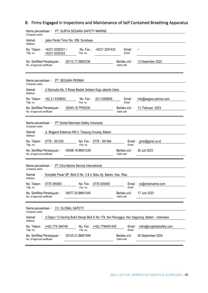# <span id="page-47-0"></span>8. Firms Engaged in Inspections and Maintenance of Self Contained Breathing Apparatus

| Nama perusahaan: PT. SURYA SEGARA SAFETY MARINE<br>Company name                                                                                                                                           |                                                                                  |                           |                                      |                                        |  |
|-----------------------------------------------------------------------------------------------------------------------------------------------------------------------------------------------------------|----------------------------------------------------------------------------------|---------------------------|--------------------------------------|----------------------------------------|--|
| Alamat<br><b>Address</b>                                                                                                                                                                                  | Jalan Perak Timur No. 358, Surabaya                                              |                           |                                      |                                        |  |
| +6231-3292021 /<br>No. Telpon:<br>Telp. no.<br>+6231-3292022                                                                                                                                              | No. Fax:<br>Fax. no.                                                             | +6231 3291423             | Email:<br>Email                      |                                        |  |
| No. Sertifikat Persetujuan:<br>No. of approval certificate                                                                                                                                                | 00112.17.SB02238                                                                 |                           | Berlaku s/d :<br>Valid until         | 13 Desember 2022                       |  |
| Nama perusahaan: PT. SEGARA PERMAI<br>Company name                                                                                                                                                        |                                                                                  |                           |                                      |                                        |  |
| Alamat<br><b>Address</b>                                                                                                                                                                                  | Jl Samudra No. 5 Rawa Badak Selatan Koja Jakarta Utara                           |                           |                                      |                                        |  |
| No. Telpon: +62 21 4309653<br>Telp. no.                                                                                                                                                                   | No. Fax:<br>Fax. no.                                                             | 021-4309655               | Email:<br>Email                      | info@segara permai.com                 |  |
| No. Sertifikat Persetujuan:<br>No. of approval certificate                                                                                                                                                | 00045.18.TP00230                                                                 |                           | Berlaku s/d:<br>Valid until          | 13 Februari 2023                       |  |
| Nama perusahaan : PT Global Marinedo Safety Indonesia<br>Company name<br>Alamat<br><b>Address</b><br>No. Telpon: 0778 - 391330<br>Telp. no.<br>No. Sertifikat Persetujuan:<br>No. of approval certificate | Jl. Brigjend Katamso KM.3, Tanjung Uncang, Batam<br>Fax. no.<br>00098.18.BM01239 | No. Fax: 0778 - 391364    | Email<br>Berlaku s/d:<br>Valid until | Email: gmsi@gmsi.co.id<br>30 Juli 2023 |  |
| Nama perusahaan : PT Citra Marine Service International<br>Company name                                                                                                                                   |                                                                                  |                           |                                      |                                        |  |
| Alamat<br><b>Address</b>                                                                                                                                                                                  | Komplek Pasar SP, Blok D No. 3 & 4, Batu Aji, Batam, Kep. Riau                   |                           |                                      |                                        |  |
| No. Telpon:<br>0778 395063<br>Telp. no.                                                                                                                                                                   | Fax. no.                                                                         | No. Fax: 0778 305058      | Email                                | Email: cs@citramarine.com              |  |
| No. Sertifikat Persetujuan:<br>No. of approval certificate                                                                                                                                                | 00077.20.BM01040                                                                 |                           | Berlaku s/d:<br>Valid until          | 17 Juni 2023                           |  |
| Nama perusahaan: CV. GLOBAL SAFETY<br>Company name                                                                                                                                                        |                                                                                  |                           |                                      |                                        |  |
| Jl.Dapur 12 Kavling Bukit Seroja Blok E No.178, Sei Pelunggut, Kec Sagulung, Batam - Indonesia<br>Alamat<br>Address                                                                                       |                                                                                  |                           |                                      |                                        |  |
| No. Telpon: (+62) 778 394749<br>Telp. no.                                                                                                                                                                 | Fax. no.                                                                         | No. Fax: (+62) 7784091430 | Email                                | Email: mitra@cvglobalsafety.com        |  |
| No. Sertifikat Persetujuan:<br>No. of approval certificate                                                                                                                                                | 00125.21.BM01695                                                                 |                           | Berlaku s/d:<br>Valid until          | 29 September 2024                      |  |